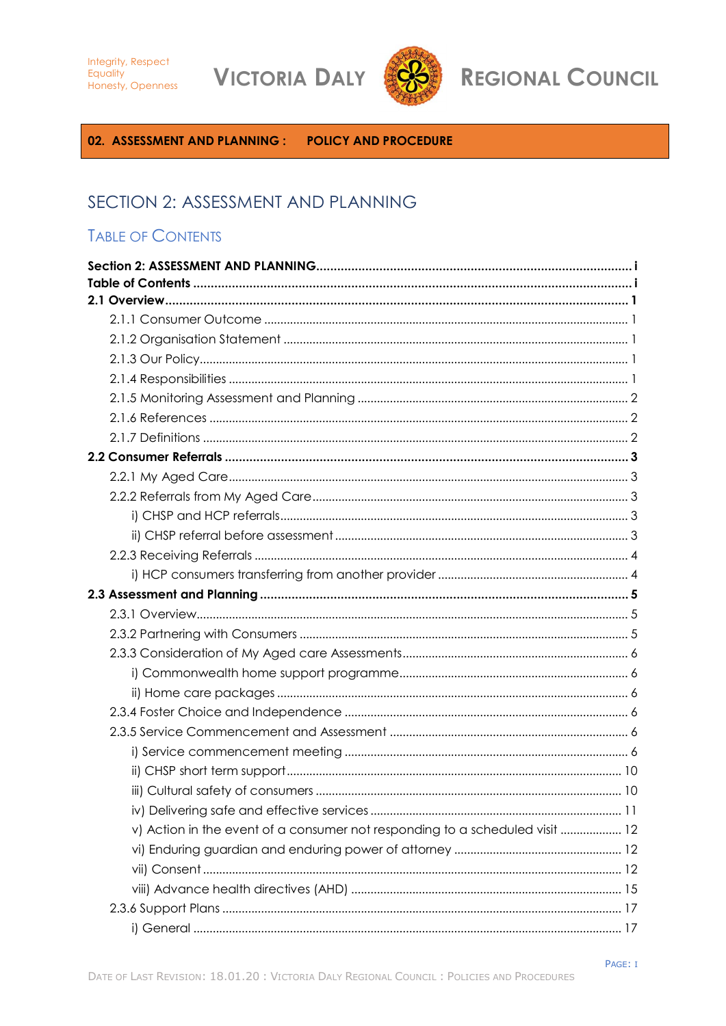**VICTORIA DALY** 



**REGIONAL COUNCIL** 

<span id="page-0-0"></span>02. ASSESSMENT AND PLANNING: POLICY AND PROCEDURE

# SECTION 2: ASSESSMENT AND PLANNING

# <span id="page-0-1"></span>**TABLE OF CONTENTS**

| v) Action in the event of a consumer not responding to a scheduled visit  12 |
|------------------------------------------------------------------------------|
|                                                                              |
|                                                                              |
|                                                                              |
|                                                                              |
|                                                                              |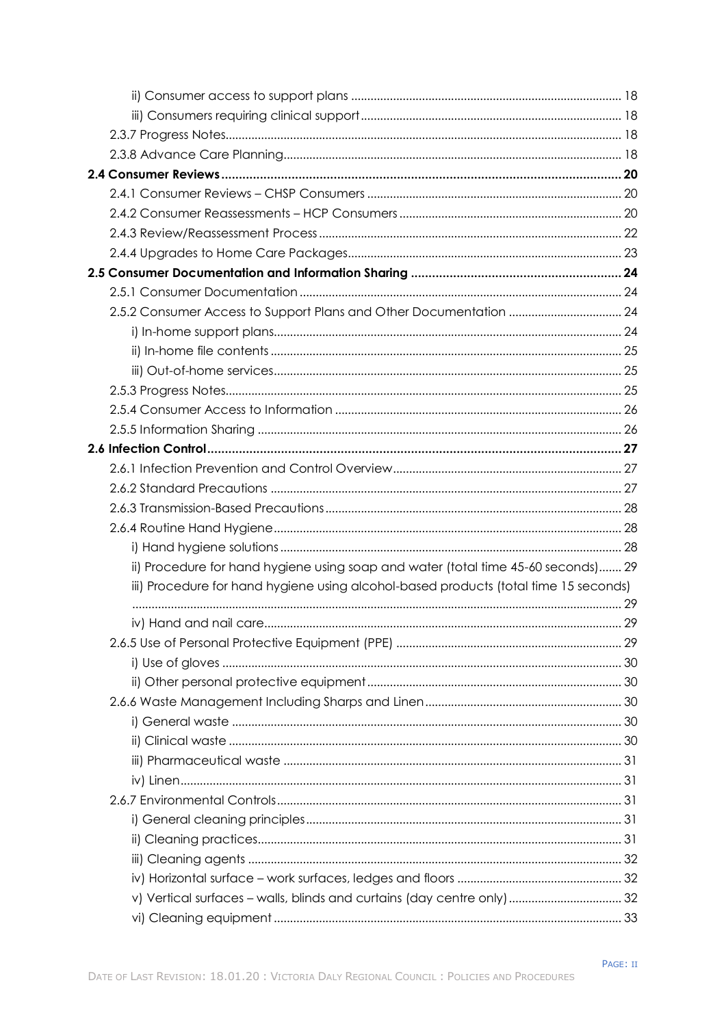| ii) Procedure for hand hygiene using soap and water (total time 45-60 seconds) 29    |  |
|--------------------------------------------------------------------------------------|--|
| iii) Procedure for hand hygiene using alcohol-based products (total time 15 seconds) |  |
|                                                                                      |  |
|                                                                                      |  |
|                                                                                      |  |
|                                                                                      |  |
|                                                                                      |  |
|                                                                                      |  |
|                                                                                      |  |
|                                                                                      |  |
|                                                                                      |  |
|                                                                                      |  |
|                                                                                      |  |
|                                                                                      |  |
|                                                                                      |  |
|                                                                                      |  |
| v) Vertical surfaces - walls, blinds and curtains (day centre only)  32              |  |
|                                                                                      |  |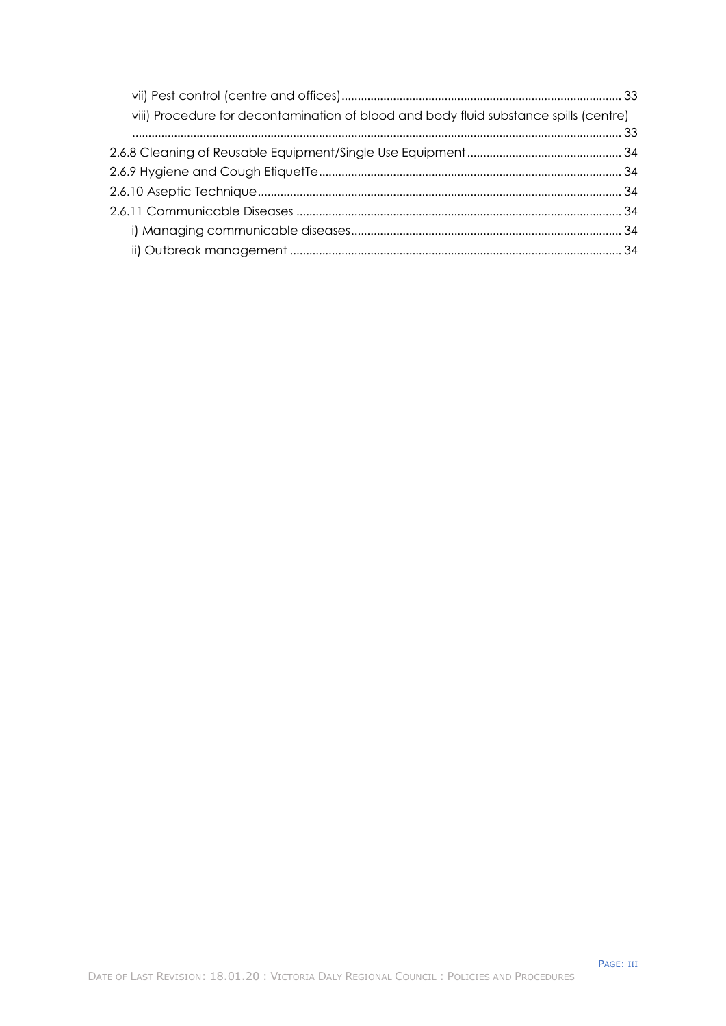| viii) Procedure for decontamination of blood and body fluid substance spills (centre) |  |
|---------------------------------------------------------------------------------------|--|
|                                                                                       |  |
|                                                                                       |  |
|                                                                                       |  |
|                                                                                       |  |
|                                                                                       |  |
|                                                                                       |  |
|                                                                                       |  |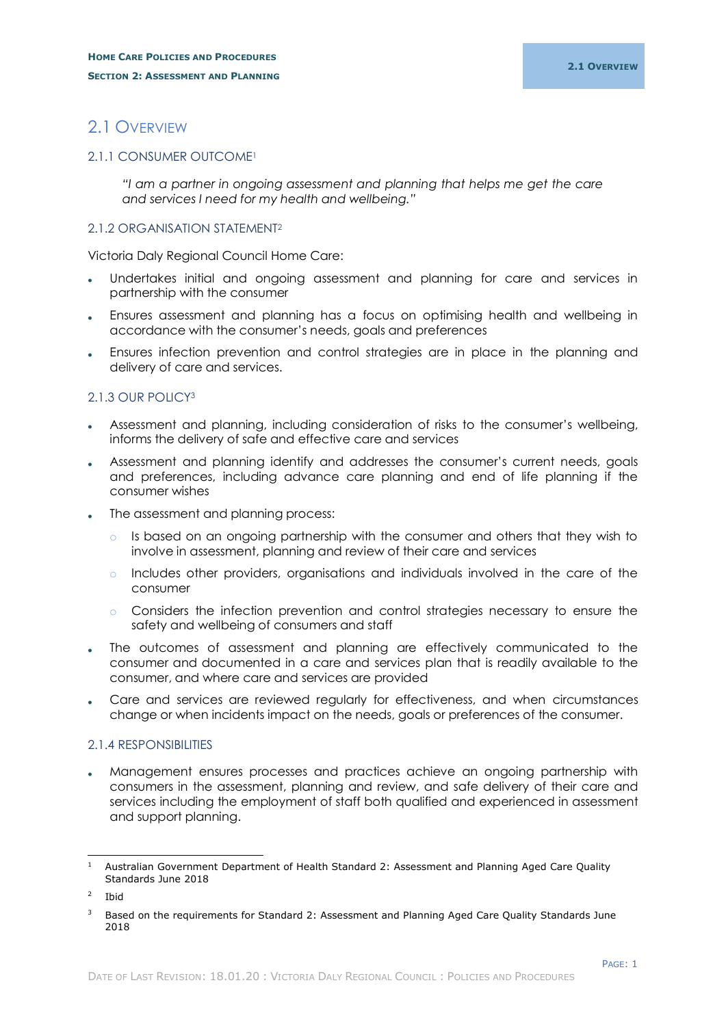# <span id="page-3-0"></span>2.1 OVERVIEW

## <span id="page-3-1"></span>2.1.1 CONSUMER OUTCOME<sup>1</sup>

*"I am a partner in ongoing assessment and planning that helps me get the care and services I need for my health and wellbeing."*

## <span id="page-3-2"></span>2.1.2 ORGANISATION STATEMENT<sup>2</sup>

Victoria Daly Regional Council Home Care:

- Undertakes initial and ongoing assessment and planning for care and services in partnership with the consumer
- Ensures assessment and planning has a focus on optimising health and wellbeing in accordance with the consumer's needs, goals and preferences
- Ensures infection prevention and control strategies are in place in the planning and delivery of care and services.

## <span id="page-3-3"></span>2.1.3 OUR POLICY<sup>3</sup>

- Assessment and planning, including consideration of risks to the consumer's wellbeing, informs the delivery of safe and effective care and services
- Assessment and planning identify and addresses the consumer's current needs, goals and preferences, including advance care planning and end of life planning if the consumer wishes
- The assessment and planning process:
	- $\circ$  Is based on an ongoing partnership with the consumer and others that they wish to involve in assessment, planning and review of their care and services
	- o Includes other providers, organisations and individuals involved in the care of the consumer
	- o Considers the infection prevention and control strategies necessary to ensure the safety and wellbeing of consumers and staff
- The outcomes of assessment and planning are effectively communicated to the consumer and documented in a care and services plan that is readily available to the consumer, and where care and services are provided
- Care and services are reviewed regularly for effectiveness, and when circumstances change or when incidents impact on the needs, goals or preferences of the consumer.

## <span id="page-3-4"></span>2.1.4 RESPONSIBILITIES

 Management ensures processes and practices achieve an ongoing partnership with consumers in the assessment, planning and review, and safe delivery of their care and services including the employment of staff both qualified and experienced in assessment and support planning.

-

<sup>&</sup>lt;sup>1</sup> Australian Government Department of Health Standard 2: Assessment and Planning Aged Care Quality Standards June 2018

 $\overline{2}$ Ibid

<sup>&</sup>lt;sup>3</sup> Based on the requirements for Standard 2: Assessment and Planning Aged Care Quality Standards June 2018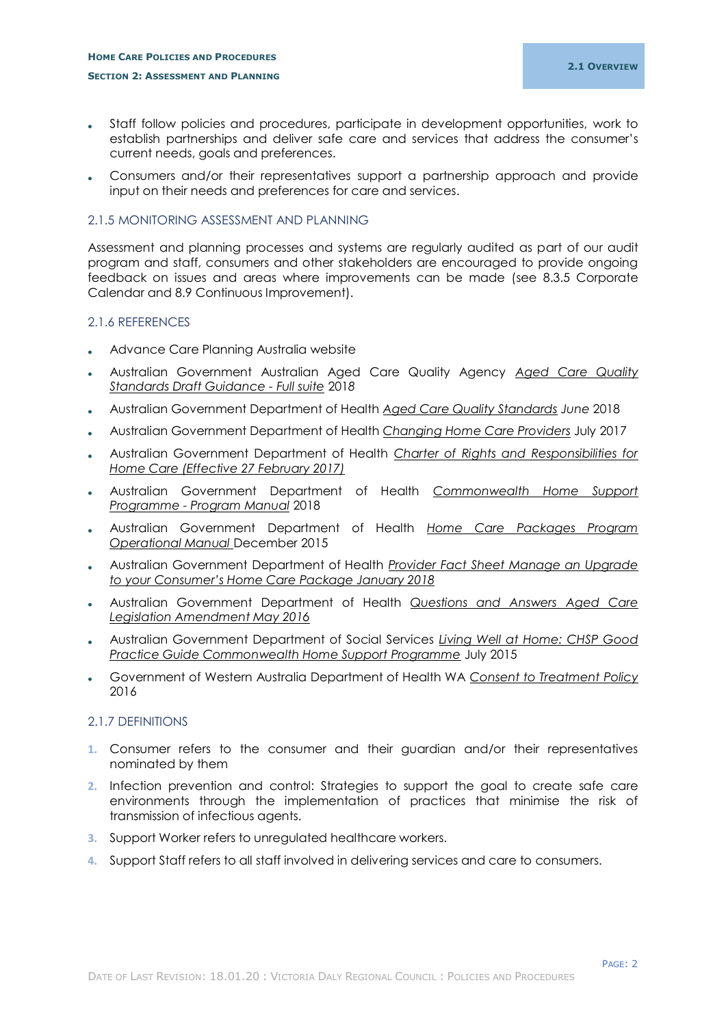## **HOME CARE POLICIES AND PROCEDURES SECTION 2: ASSESSMENT AND PLANNING**

- Staff follow policies and procedures, participate in development opportunities, work to establish partnerships and deliver safe care and services that address the consumer's current needs, goals and preferences.
- Consumers and/or their representatives support a partnership approach and provide input on their needs and preferences for care and services.

## <span id="page-4-0"></span>2.1.5 MONITORING ASSESSMENT AND PLANNING

Assessment and planning processes and systems are regularly audited as part of our audit program and staff, consumers and other stakeholders are encouraged to provide ongoing feedback on issues and areas where improvements can be made (see 8.3.5 Corporate Calendar and 8.9 Continuous Improvement).

## <span id="page-4-1"></span>2.1.6 REFERENCES

- Advance Care Planning Australia website
- Australian Government Australian Aged Care Quality Agency *Aged Care Quality Standards Draft Guidance - Full suite* 201*8*
- Australian Government Department of Health *Aged Care Quality Standards June* 2018
- Australian Government Department of Health *Changing Home Care Providers* July 2017
- Australian Government Department of Health *Charter of Rights and Responsibilities for Home Care (Effective 27 February 2017)*
- Australian Government Department of Health *Commonwealth Home Support Programme - Program Manual* 2018
- Australian Government Department of Health *Home Care Packages Program Operational Manual* December 2015
- Australian Government Department of Health *Provider Fact Sheet Manage an Upgrade to your Consumer's Home Care Package January 2018*
- Australian Government Department of Health *Questions and Answers Aged Care Legislation Amendment May 2016*
- Australian Government Department of Social Services *Living Well at Home: CHSP Good Practice Guide Commonwealth Home Support Programme* July 2015
- Government of Western Australia Department of Health WA *Consent to Treatment Policy* 2016

## <span id="page-4-2"></span>2.1.7 DEFINITIONS

- **1.** Consumer refers to the consumer and their guardian and/or their representatives nominated by them
- **2.** Infection prevention and control: Strategies to support the goal to create safe care environments through the implementation of practices that minimise the risk of transmission of infectious agents.
- **3.** Support Worker refers to unregulated healthcare workers.
- **4.** Support Staff refers to all staff involved in delivering services and care to consumers.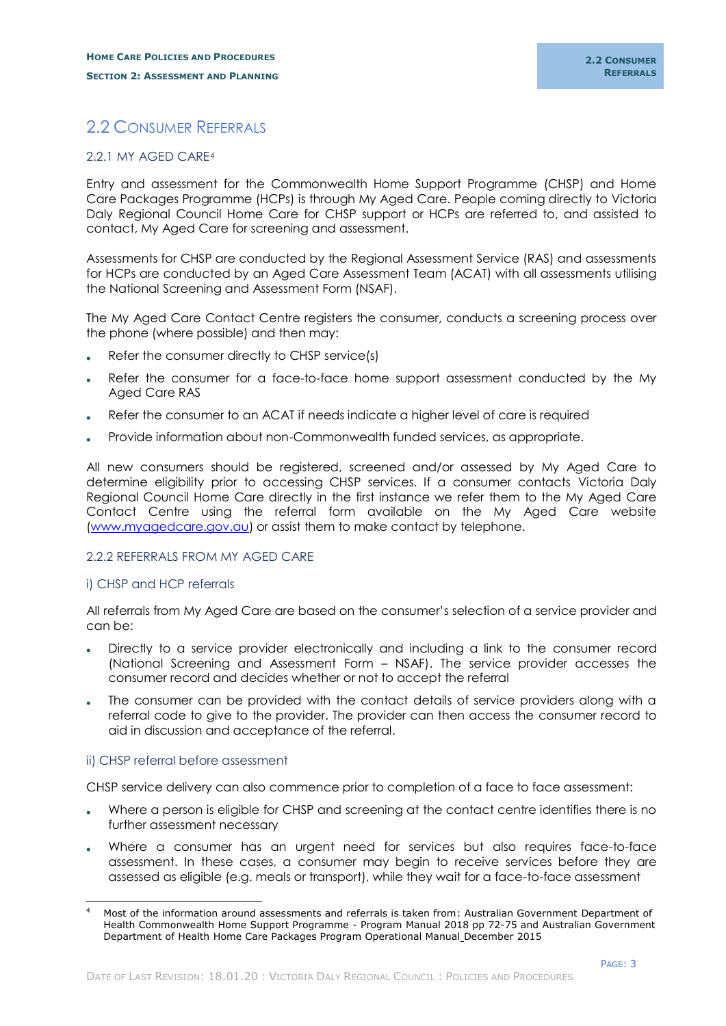## <span id="page-5-0"></span>2.2 CONSUMER REFERRALS

#### <span id="page-5-1"></span>2.2.1 MY AGED CARE<sup>4</sup>

Entry and assessment for the Commonwealth Home Support Programme (CHSP) and Home Care Packages Programme (HCPs) is through My Aged Care. People coming directly to Victoria Daly Regional Council Home Care for CHSP support or HCPs are referred to, and assisted to contact, My Aged Care for screening and assessment.

Assessments for CHSP are conducted by the Regional Assessment Service (RAS) and assessments for HCPs are conducted by an Aged Care Assessment Team (ACAT) with all assessments utilising the National Screening and Assessment Form (NSAF).

The My Aged Care Contact Centre registers the consumer, conducts a screening process over the phone (where possible) and then may:

- Refer the consumer directly to CHSP service(s)
- Refer the consumer for a face-to-face home support assessment conducted by the My Aged Care RAS
- Refer the consumer to an ACAT if needs indicate a higher level of care is required
- Provide information about non-Commonwealth funded services, as appropriate.

All new consumers should be registered, screened and/or assessed by My Aged Care to determine eligibility prior to accessing CHSP services. If a consumer contacts Victoria Daly Regional Council Home Care directly in the first instance we refer them to the My Aged Care Contact Centre using the referral form available on the My Aged Care website [\(www.myagedcare.gov.au\)](http://www.myagedcare.gov.au/) or assist them to make contact by telephone.

## <span id="page-5-2"></span>2.2.2 REFERRALS FROM MY AGED CARE

## <span id="page-5-3"></span>i) CHSP and HCP referrals

All referrals from My Aged Care are based on the consumer's selection of a service provider and can be:

- Directly to a service provider electronically and including a link to the consumer record (National Screening and Assessment Form – NSAF). The service provider accesses the consumer record and decides whether or not to accept the referral
- The consumer can be provided with the contact details of service providers along with a referral code to give to the provider. The provider can then access the consumer record to aid in discussion and acceptance of the referral.

## <span id="page-5-4"></span>ii) CHSP referral before assessment

-

CHSP service delivery can also commence prior to completion of a face to face assessment:

- Where a person is eligible for CHSP and screening at the contact centre identifies there is no further assessment necessary
- Where a consumer has an urgent need for services but also requires face-to-face assessment. In these cases, a consumer may begin to receive services before they are assessed as eligible (e.g. meals or transport), while they wait for a face-to-face assessment

<sup>4</sup> Most of the information around assessments and referrals is taken from: Australian Government Department of Health Commonwealth Home Support Programme - Program Manual 2018 pp 72-75 and Australian Government Department of Health Home Care Packages Program Operational Manual December 2015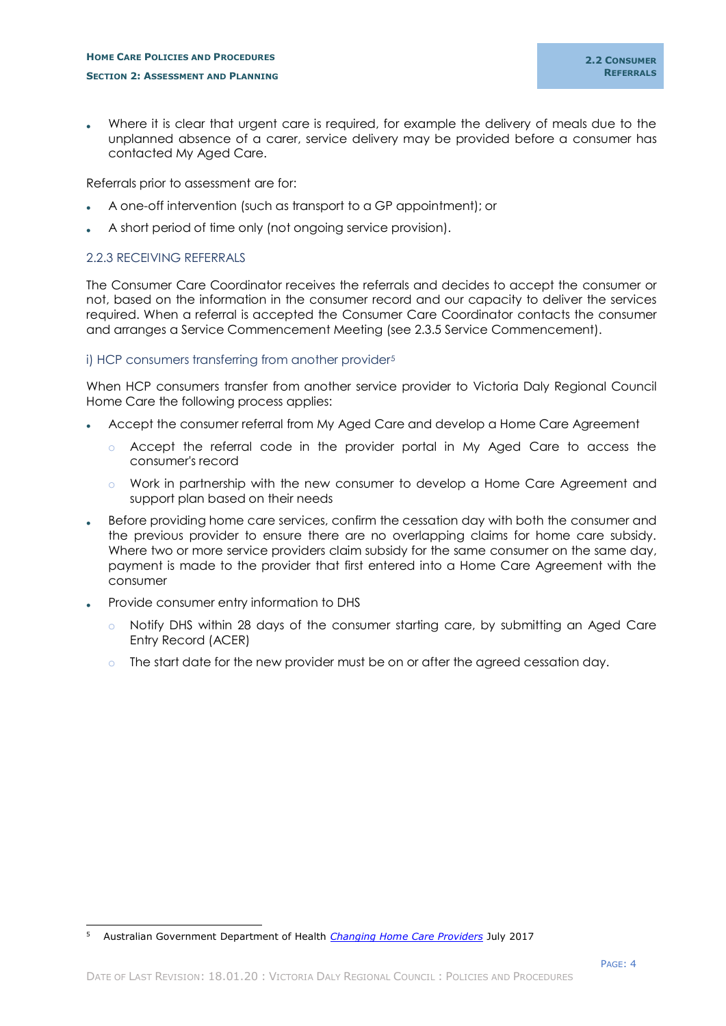## **HOME CARE POLICIES AND PROCEDURES SECTION 2: ASSESSMENT AND PLANNING**

 Where it is clear that urgent care is required, for example the delivery of meals due to the unplanned absence of a carer, service delivery may be provided before a consumer has contacted My Aged Care.

Referrals prior to assessment are for:

- A one-off intervention (such as transport to a GP appointment); or
- A short period of time only (not ongoing service provision).

## <span id="page-6-0"></span>2.2.3 RECEIVING REFERRALS

The Consumer Care Coordinator receives the referrals and decides to accept the consumer or not, based on the information in the consumer record and our capacity to deliver the services required. When a referral is accepted the Consumer Care Coordinator contacts the consumer and arranges a Service Commencement Meeting (see 2.3.5 Service Commencement).

## <span id="page-6-1"></span>i) HCP consumers transferring from another provider<sup>5</sup>

When HCP consumers transfer from another service provider to Victoria Daly Regional Council Home Care the following process applies:

- Accept the consumer referral from My Aged Care and develop a Home Care Agreement
	- o Accept the referral code in the provider portal in My Aged Care to access the consumer's record
	- o Work in partnership with the new consumer to develop a Home Care Agreement and support plan based on their needs
- Before providing home care services, confirm the cessation day with both the consumer and the previous provider to ensure there are no overlapping claims for home care subsidy. Where two or more service providers claim subsidy for the same consumer on the same day, payment is made to the provider that first entered into a Home Care Agreement with the consumer
- Provide consumer entry information to DHS
	- o Notify DHS within 28 days of the consumer starting care, by submitting an Aged Care Entry Record (ACER)
	- $\circ$  The start date for the new provider must be on or after the agreed cessation day.

<sup>-</sup><sup>5</sup> Australian Government Department of Health *[Changing Home Care Providers](https://agedcare.health.gov.au/programs/home-care/changing-home-care-providers)* July 2017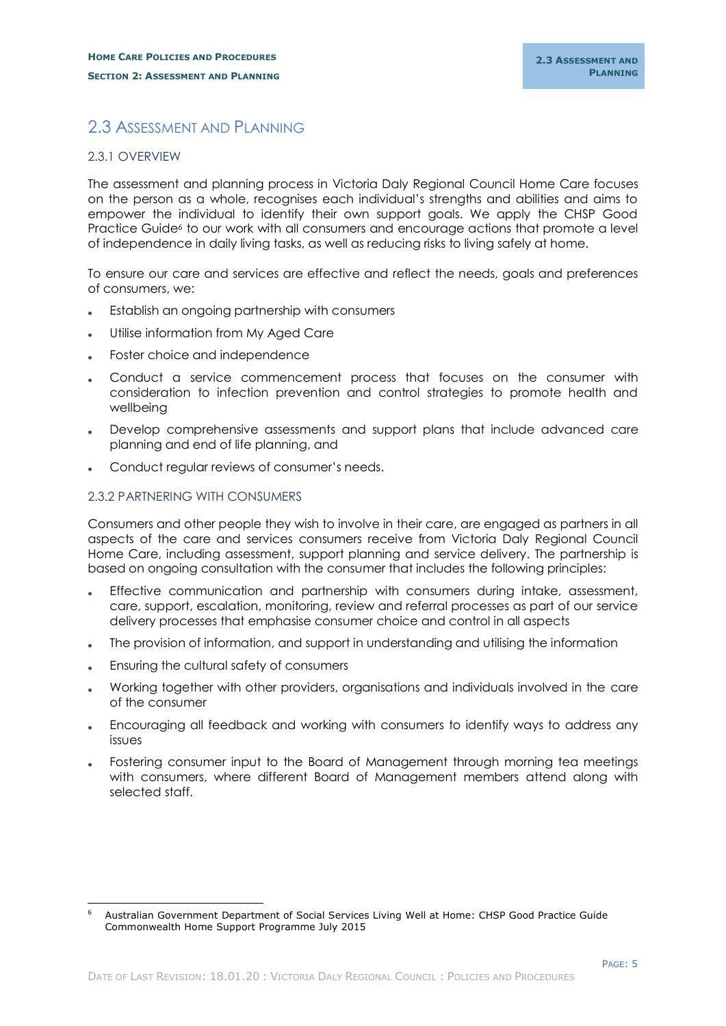## <span id="page-7-0"></span>2.3 ASSESSMENT AND PLANNING

## <span id="page-7-1"></span>2.3.1 OVERVIEW

The assessment and planning process in Victoria Daly Regional Council Home Care focuses on the person as a whole, recognises each individual's strengths and abilities and aims to empower the individual to identify their own support goals. We apply the CHSP Good Practice Guide<sup>6</sup> to our work with all consumers and encourage actions that promote a level of independence in daily living tasks, as well as reducing risks to living safely at home.

To ensure our care and services are effective and reflect the needs, goals and preferences of consumers, we:

- Establish an ongoing partnership with consumers
- Utilise information from My Aged Care
- Foster choice and independence
- Conduct a service commencement process that focuses on the consumer with consideration to infection prevention and control strategies to promote health and wellbeing
- Develop comprehensive assessments and support plans that include advanced care planning and end of life planning, and
- Conduct regular reviews of consumer's needs.

## <span id="page-7-2"></span>2.3.2 PARTNERING WITH CONSUMERS

Consumers and other people they wish to involve in their care, are engaged as partners in all aspects of the care and services consumers receive from Victoria Daly Regional Council Home Care, including assessment, support planning and service delivery. The partnership is based on ongoing consultation with the consumer that includes the following principles:

- Effective communication and partnership with consumers during intake, assessment, care, support, escalation, monitoring, review and referral processes as part of our service delivery processes that emphasise consumer choice and control in all aspects
- The provision of information, and support in understanding and utilising the information
- Ensuring the cultural safety of consumers
- Working together with other providers, organisations and individuals involved in the care of the consumer
- Encouraging all feedback and working with consumers to identify ways to address any issues
- Fostering consumer input to the Board of Management through morning tea meetings with consumers, where different Board of Management members attend along with selected staff.

<sup>-</sup><sup>6</sup> Australian Government Department of Social Services Living Well at Home: CHSP Good Practice Guide Commonwealth Home Support Programme July 2015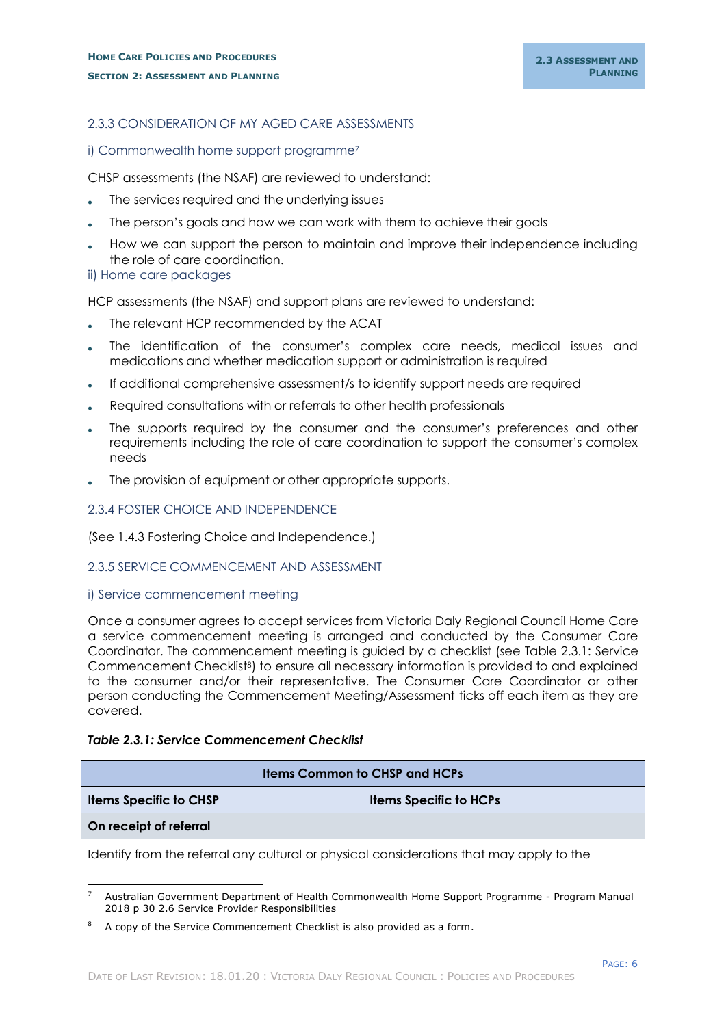## <span id="page-8-0"></span>2.3.3 CONSIDERATION OF MY AGED CARE ASSESSMENTS

## <span id="page-8-1"></span>i) Commonwealth home support programme<sup>7</sup>

CHSP assessments (the NSAF) are reviewed to understand:

- The services required and the underlying issues
- The person's goals and how we can work with them to achieve their goals
- How we can support the person to maintain and improve their independence including the role of care coordination.

<span id="page-8-2"></span>ii) Home care packages

HCP assessments (the NSAF) and support plans are reviewed to understand:

- The relevant HCP recommended by the ACAT
- The identification of the consumer's complex care needs, medical issues and medications and whether medication support or administration is required
- If additional comprehensive assessment/s to identify support needs are required
- Required consultations with or referrals to other health professionals
- The supports required by the consumer and the consumer's preferences and other requirements including the role of care coordination to support the consumer's complex needs
- The provision of equipment or other appropriate supports.

## <span id="page-8-3"></span>2.3.4 FOSTER CHOICE AND INDEPENDENCE

(See 1.4.3 Fostering Choice and Independence.)

#### <span id="page-8-4"></span>2.3.5 SERVICE COMMENCEMENT AND ASSESSMENT

#### <span id="page-8-5"></span>i) Service commencement meeting

Once a consumer agrees to accept services from Victoria Daly Regional Council Home Care a service commencement meeting is arranged and conducted by the Consumer Care Coordinator. The commencement meeting is guided by a checklist (see Table 2.3.1: Service Commencement Checklist<sup>8</sup>) to ensure all necessary information is provided to and explained to the consumer and/or their representative. The Consumer Care Coordinator or other person conducting the Commencement Meeting/Assessment ticks off each item as they are covered.

#### *Table 2.3.1: Service Commencement Checklist*

| <b>Items Common to CHSP and HCPs</b>                                                     |                               |  |  |
|------------------------------------------------------------------------------------------|-------------------------------|--|--|
| <b>Items Specific to CHSP</b>                                                            | <b>Items Specific to HCPs</b> |  |  |
| On receipt of referral                                                                   |                               |  |  |
| Identify from the referral any cultural or physical considerations that may apply to the |                               |  |  |

<sup>-</sup><sup>7</sup> Australian Government Department of Health Commonwealth Home Support Programme - Program Manual 2018 p 30 2.6 Service Provider Responsibilities

<sup>8</sup> A copy of the Service Commencement Checklist is also provided as a form.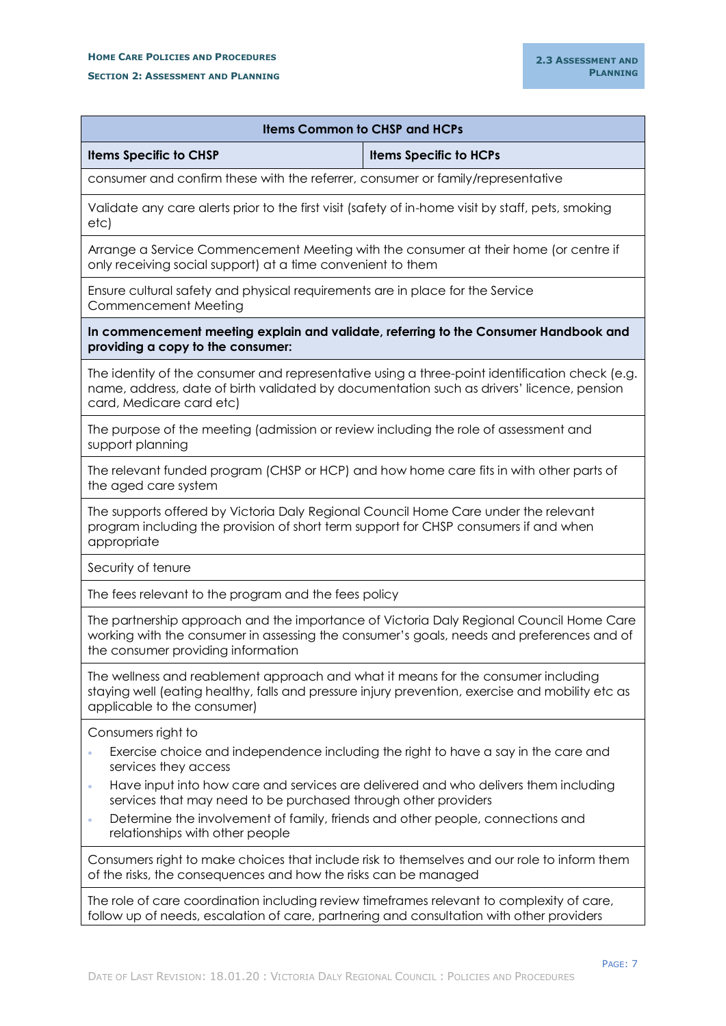## **HOME CARE POLICIES AND PROCEDURES**

#### **SECTION 2: ASSESSMENT AND PLANNING**

| <b>Items Common to CHSP and HCPs</b>                                                                                                                                                                                                                                     |                                                                                                                                                                                      |  |  |  |  |
|--------------------------------------------------------------------------------------------------------------------------------------------------------------------------------------------------------------------------------------------------------------------------|--------------------------------------------------------------------------------------------------------------------------------------------------------------------------------------|--|--|--|--|
| <b>Items Specific to CHSP</b>                                                                                                                                                                                                                                            | <b>Items Specific to HCPs</b>                                                                                                                                                        |  |  |  |  |
| consumer and confirm these with the referrer, consumer or family/representative                                                                                                                                                                                          |                                                                                                                                                                                      |  |  |  |  |
| Validate any care alerts prior to the first visit (safety of in-home visit by staff, pets, smoking<br>etc)                                                                                                                                                               |                                                                                                                                                                                      |  |  |  |  |
| Arrange a Service Commencement Meeting with the consumer at their home (or centre if<br>only receiving social support) at a time convenient to them                                                                                                                      |                                                                                                                                                                                      |  |  |  |  |
| Commencement Meeting                                                                                                                                                                                                                                                     | Ensure cultural safety and physical requirements are in place for the Service                                                                                                        |  |  |  |  |
| In commencement meeting explain and validate, referring to the Consumer Handbook and<br>providing a copy to the consumer:                                                                                                                                                |                                                                                                                                                                                      |  |  |  |  |
| name, address, date of birth validated by documentation such as drivers' licence, pension<br>card, Medicare card etc)                                                                                                                                                    | The identity of the consumer and representative using a three-point identification check (e.g.                                                                                       |  |  |  |  |
| The purpose of the meeting (admission or review including the role of assessment and<br>support planning                                                                                                                                                                 |                                                                                                                                                                                      |  |  |  |  |
| The relevant funded program (CHSP or HCP) and how home care fits in with other parts of<br>the aged care system                                                                                                                                                          |                                                                                                                                                                                      |  |  |  |  |
| The supports offered by Victoria Daly Regional Council Home Care under the relevant<br>program including the provision of short term support for CHSP consumers if and when<br>appropriate                                                                               |                                                                                                                                                                                      |  |  |  |  |
| Security of tenure                                                                                                                                                                                                                                                       |                                                                                                                                                                                      |  |  |  |  |
| The fees relevant to the program and the fees policy                                                                                                                                                                                                                     |                                                                                                                                                                                      |  |  |  |  |
| the consumer providing information                                                                                                                                                                                                                                       | The partnership approach and the importance of Victoria Daly Regional Council Home Care<br>working with the consumer in assessing the consumer's goals, needs and preferences and of |  |  |  |  |
| The wellness and reablement approach and what it means for the consumer including<br>staying well (eating healthy, falls and pressure injury prevention, exercise and mobility etc as<br>applicable to the consumer)                                                     |                                                                                                                                                                                      |  |  |  |  |
| Consumers right to<br>$\bullet$<br>services they access<br>$\bullet$<br>services that may need to be purchased through other providers<br>Determine the involvement of family, friends and other people, connections and<br>$\bullet$<br>relationships with other people | Exercise choice and independence including the right to have a say in the care and<br>Have input into how care and services are delivered and who delivers them including            |  |  |  |  |
| Consumers right to make choices that include risk to themselves and our role to inform them<br>of the risks, the consequences and how the risks can be managed                                                                                                           |                                                                                                                                                                                      |  |  |  |  |
| The role of care coordination including review timeframes relevant to complexity of care,<br>follow up of needs, escalation of care, partnering and consultation with other providers                                                                                    |                                                                                                                                                                                      |  |  |  |  |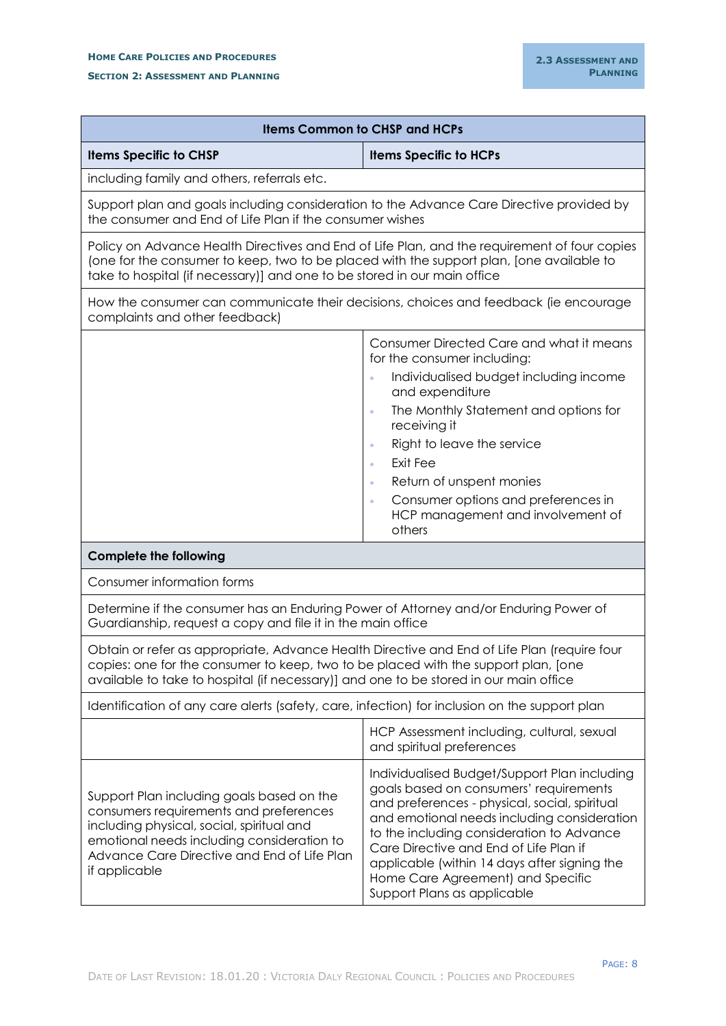#### **HOME CARE POLICIES AND PROCEDURES**

**SECTION 2: ASSESSMENT AND PLANNING**

| <b>Items Common to CHSP and HCPs</b>                                                                                                                                                                                                                                       |                                                                                                                                                                                                                                                                                                                                                                                                   |  |  |  |
|----------------------------------------------------------------------------------------------------------------------------------------------------------------------------------------------------------------------------------------------------------------------------|---------------------------------------------------------------------------------------------------------------------------------------------------------------------------------------------------------------------------------------------------------------------------------------------------------------------------------------------------------------------------------------------------|--|--|--|
| <b>Items Specific to CHSP</b>                                                                                                                                                                                                                                              | <b>Items Specific to HCPs</b>                                                                                                                                                                                                                                                                                                                                                                     |  |  |  |
| including family and others, referrals etc.                                                                                                                                                                                                                                |                                                                                                                                                                                                                                                                                                                                                                                                   |  |  |  |
| Support plan and goals including consideration to the Advance Care Directive provided by<br>the consumer and End of Life Plan if the consumer wishes                                                                                                                       |                                                                                                                                                                                                                                                                                                                                                                                                   |  |  |  |
| Policy on Advance Health Directives and End of Life Plan, and the requirement of four copies<br>(one for the consumer to keep, two to be placed with the support plan, [one available to<br>take to hospital (if necessary)] and one to be stored in our main office       |                                                                                                                                                                                                                                                                                                                                                                                                   |  |  |  |
| How the consumer can communicate their decisions, choices and feedback (ie encourage<br>complaints and other feedback)                                                                                                                                                     |                                                                                                                                                                                                                                                                                                                                                                                                   |  |  |  |
|                                                                                                                                                                                                                                                                            | Consumer Directed Care and what it means<br>for the consumer including:<br>Individualised budget including income<br>$\ddot{\phantom{a}}$                                                                                                                                                                                                                                                         |  |  |  |
|                                                                                                                                                                                                                                                                            | and expenditure<br>The Monthly Statement and options for<br>$\ddot{\phantom{a}}$<br>receiving it<br>Right to leave the service<br>Exit Fee<br>$\bullet$<br>Return of unspent monies<br>$\bullet$<br>Consumer options and preferences in<br>ö<br>HCP management and involvement of<br>others                                                                                                       |  |  |  |
| <b>Complete the following</b>                                                                                                                                                                                                                                              |                                                                                                                                                                                                                                                                                                                                                                                                   |  |  |  |
| Consumer information forms                                                                                                                                                                                                                                                 |                                                                                                                                                                                                                                                                                                                                                                                                   |  |  |  |
| Determine if the consumer has an Enduring Power of Attorney and/or Enduring Power of<br>Guardianship, request a copy and file it in the main office                                                                                                                        |                                                                                                                                                                                                                                                                                                                                                                                                   |  |  |  |
| Obtain or refer as appropriate, Advance Health Directive and End of Life Plan (require four<br>copies: one for the consumer to keep, two to be placed with the support plan, [one<br>available to take to hospital (if necessary)] and one to be stored in our main office |                                                                                                                                                                                                                                                                                                                                                                                                   |  |  |  |
| Identification of any care alerts (safety, care, infection) for inclusion on the support plan                                                                                                                                                                              |                                                                                                                                                                                                                                                                                                                                                                                                   |  |  |  |
|                                                                                                                                                                                                                                                                            | HCP Assessment including, cultural, sexual<br>and spiritual preferences                                                                                                                                                                                                                                                                                                                           |  |  |  |
| Support Plan including goals based on the<br>consumers requirements and preferences<br>including physical, social, spiritual and<br>emotional needs including consideration to<br>Advance Care Directive and End of Life Plan<br>if applicable                             | Individualised Budget/Support Plan including<br>goals based on consumers' requirements<br>and preferences - physical, social, spiritual<br>and emotional needs including consideration<br>to the including consideration to Advance<br>Care Directive and End of Life Plan if<br>applicable (within 14 days after signing the<br>Home Care Agreement) and Specific<br>Support Plans as applicable |  |  |  |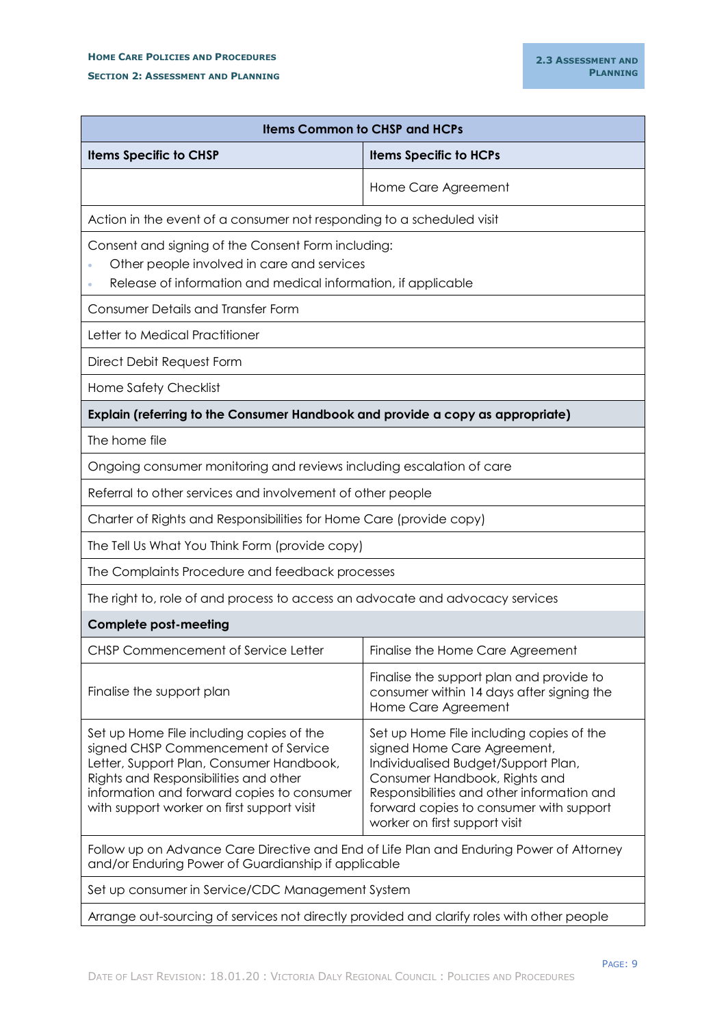| <b>Items Common to CHSP and HCPs</b>                                                                                                                                                                                                                             |                                                                                                                                                                                                                                                                           |  |  |  |
|------------------------------------------------------------------------------------------------------------------------------------------------------------------------------------------------------------------------------------------------------------------|---------------------------------------------------------------------------------------------------------------------------------------------------------------------------------------------------------------------------------------------------------------------------|--|--|--|
| <b>Items Specific to CHSP</b><br><b>Items Specific to HCPs</b>                                                                                                                                                                                                   |                                                                                                                                                                                                                                                                           |  |  |  |
|                                                                                                                                                                                                                                                                  | Home Care Agreement                                                                                                                                                                                                                                                       |  |  |  |
| Action in the event of a consumer not responding to a scheduled visit                                                                                                                                                                                            |                                                                                                                                                                                                                                                                           |  |  |  |
| Consent and signing of the Consent Form including:<br>Other people involved in care and services<br>Release of information and medical information, if applicable                                                                                                |                                                                                                                                                                                                                                                                           |  |  |  |
| <b>Consumer Details and Transfer Form</b>                                                                                                                                                                                                                        |                                                                                                                                                                                                                                                                           |  |  |  |
| Letter to Medical Practitioner                                                                                                                                                                                                                                   |                                                                                                                                                                                                                                                                           |  |  |  |
| Direct Debit Request Form                                                                                                                                                                                                                                        |                                                                                                                                                                                                                                                                           |  |  |  |
| Home Safety Checklist                                                                                                                                                                                                                                            |                                                                                                                                                                                                                                                                           |  |  |  |
| Explain (referring to the Consumer Handbook and provide a copy as appropriate)                                                                                                                                                                                   |                                                                                                                                                                                                                                                                           |  |  |  |
| The home file                                                                                                                                                                                                                                                    |                                                                                                                                                                                                                                                                           |  |  |  |
| Ongoing consumer monitoring and reviews including escalation of care                                                                                                                                                                                             |                                                                                                                                                                                                                                                                           |  |  |  |
| Referral to other services and involvement of other people                                                                                                                                                                                                       |                                                                                                                                                                                                                                                                           |  |  |  |
| Charter of Rights and Responsibilities for Home Care (provide copy)                                                                                                                                                                                              |                                                                                                                                                                                                                                                                           |  |  |  |
| The Tell Us What You Think Form (provide copy)                                                                                                                                                                                                                   |                                                                                                                                                                                                                                                                           |  |  |  |
| The Complaints Procedure and feedback processes                                                                                                                                                                                                                  |                                                                                                                                                                                                                                                                           |  |  |  |
| The right to, role of and process to access an advocate and advocacy services                                                                                                                                                                                    |                                                                                                                                                                                                                                                                           |  |  |  |
| <b>Complete post-meeting</b>                                                                                                                                                                                                                                     |                                                                                                                                                                                                                                                                           |  |  |  |
| CHSP Commencement of Service Letter                                                                                                                                                                                                                              | Finalise the Home Care Agreement                                                                                                                                                                                                                                          |  |  |  |
| Finalise the support plan                                                                                                                                                                                                                                        | Finalise the support plan and provide to<br>consumer within 14 days after signing the<br>Home Care Agreement                                                                                                                                                              |  |  |  |
| Set up Home File including copies of the<br>signed CHSP Commencement of Service<br>Letter, Support Plan, Consumer Handbook,<br>Rights and Responsibilities and other<br>information and forward copies to consumer<br>with support worker on first support visit | Set up Home File including copies of the<br>signed Home Care Agreement,<br>Individualised Budget/Support Plan,<br>Consumer Handbook, Rights and<br>Responsibilities and other information and<br>forward copies to consumer with support<br>worker on first support visit |  |  |  |
| Follow up on Advance Care Directive and End of Life Plan and Enduring Power of Attorney<br>and/or Enduring Power of Guardianship if applicable                                                                                                                   |                                                                                                                                                                                                                                                                           |  |  |  |
| Set up consumer in Service/CDC Management System                                                                                                                                                                                                                 |                                                                                                                                                                                                                                                                           |  |  |  |
| Arrange out-sourcing of services not directly provided and clarify roles with other people                                                                                                                                                                       |                                                                                                                                                                                                                                                                           |  |  |  |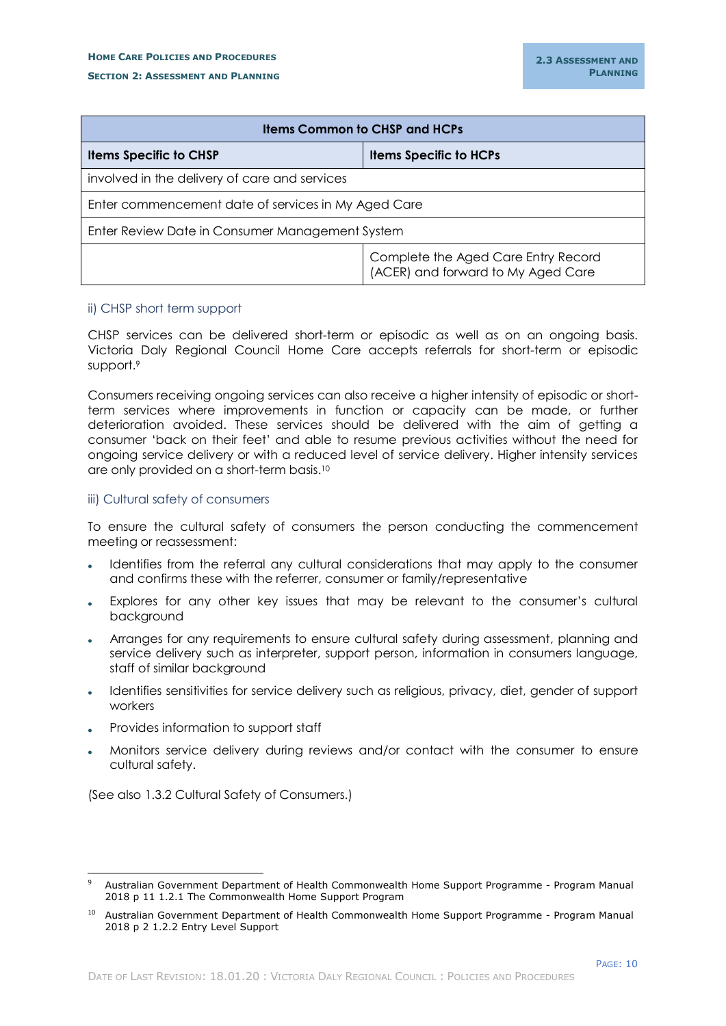#### **SECTION 2: ASSESSMENT AND PLANNING**

| <b>Items Common to CHSP and HCPs</b>                |                                                                           |  |  |  |
|-----------------------------------------------------|---------------------------------------------------------------------------|--|--|--|
| <b>Items Specific to CHSP</b>                       | <b>Items Specific to HCPs</b>                                             |  |  |  |
| involved in the delivery of care and services       |                                                                           |  |  |  |
| Enter commencement date of services in My Aged Care |                                                                           |  |  |  |
| Enter Review Date in Consumer Management System     |                                                                           |  |  |  |
|                                                     | Complete the Aged Care Entry Record<br>(ACER) and forward to My Aged Care |  |  |  |

## <span id="page-12-0"></span>ii) CHSP short term support

CHSP services can be delivered short-term or episodic as well as on an ongoing basis. Victoria Daly Regional Council Home Care accepts referrals for short-term or episodic support.<sup>9</sup>

Consumers receiving ongoing services can also receive a higher intensity of episodic or shortterm services where improvements in function or capacity can be made, or further deterioration avoided. These services should be delivered with the aim of getting a consumer 'back on their feet' and able to resume previous activities without the need for ongoing service delivery or with a reduced level of service delivery. Higher intensity services are only provided on a short-term basis.<sup>10</sup>

## <span id="page-12-1"></span>iii) Cultural safety of consumers

To ensure the cultural safety of consumers the person conducting the commencement meeting or reassessment:

- Identifies from the referral any cultural considerations that may apply to the consumer and confirms these with the referrer, consumer or family/representative
- Explores for any other key issues that may be relevant to the consumer's cultural background
- Arranges for any requirements to ensure cultural safety during assessment, planning and service delivery such as interpreter, support person, information in consumers language, staff of similar background
- Identifies sensitivities for service delivery such as religious, privacy, diet, gender of support workers
- Provides information to support staff

-

 Monitors service delivery during reviews and/or contact with the consumer to ensure cultural safety.

(See also 1.3.2 Cultural Safety of Consumers.)

<sup>9</sup> Australian Government Department of Health Commonwealth Home Support Programme - Program Manual 2018 p 11 1.2.1 The Commonwealth Home Support Program

<sup>&</sup>lt;sup>10</sup> Australian Government Department of Health Commonwealth Home Support Programme - Program Manual 2018 p 2 1.2.2 Entry Level Support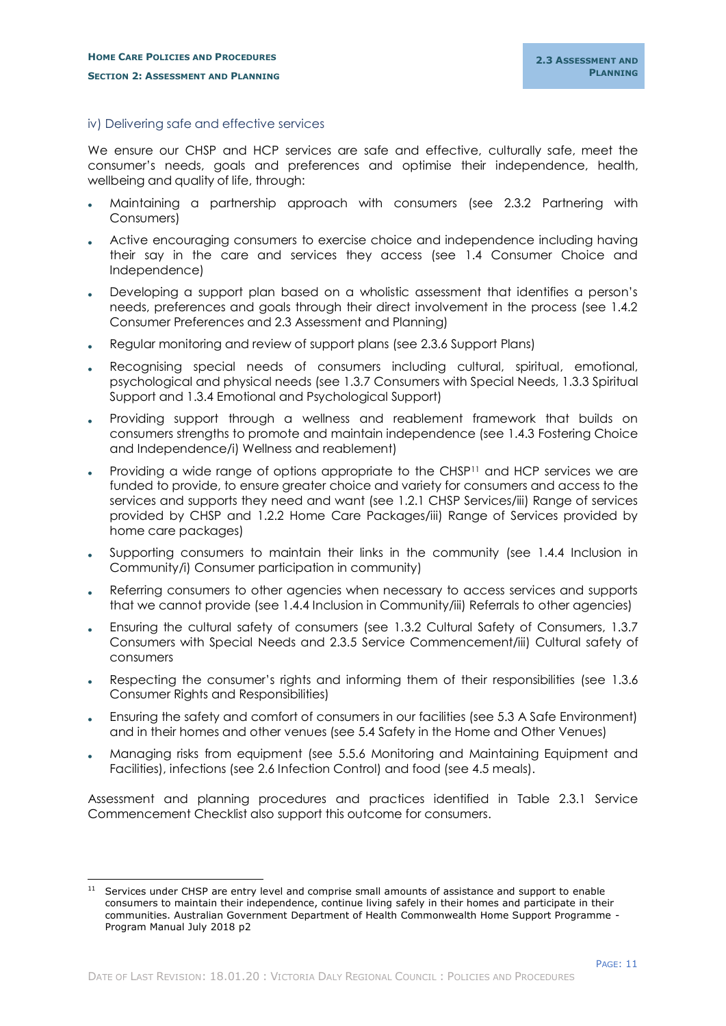-

#### <span id="page-13-0"></span>iv) Delivering safe and effective services

We ensure our CHSP and HCP services are safe and effective, culturally safe, meet the consumer's needs, goals and preferences and optimise their independence, health, wellbeing and quality of life, through:

- Maintaining a partnership approach with consumers (see 2.3.2 Partnering with Consumers)
- Active encouraging consumers to exercise choice and independence including having their say in the care and services they access (see 1.4 Consumer Choice and Independence)
- Developing a support plan based on a wholistic assessment that identifies a person's needs, preferences and goals through their direct involvement in the process (see 1.4.2 Consumer Preferences and 2.3 Assessment and Planning)
- Regular monitoring and review of support plans (see 2.3.6 Support Plans)
- Recognising special needs of consumers including cultural, spiritual, emotional, psychological and physical needs (see 1.3.7 Consumers with Special Needs, 1.3.3 Spiritual Support and 1.3.4 Emotional and Psychological Support)
- Providing support through a wellness and reablement framework that builds on consumers strengths to promote and maintain independence (see 1.4.3 Fostering Choice and Independence/i) Wellness and reablement)
- Providing a wide range of options appropriate to the CHSP<sup>11</sup> and HCP services we are funded to provide, to ensure greater choice and variety for consumers and access to the services and supports they need and want (see 1.2.1 CHSP Services/iii) Range of services provided by CHSP and 1.2.2 Home Care Packages/iii) Range of Services provided by home care packages)
- Supporting consumers to maintain their links in the community (see 1.4.4 Inclusion in Community/i) Consumer participation in community)
- Referring consumers to other agencies when necessary to access services and supports that we cannot provide (see 1.4.4 Inclusion in Community/iii) Referrals to other agencies)
- Ensuring the cultural safety of consumers (see 1.3.2 Cultural Safety of Consumers, 1.3.7 Consumers with Special Needs and 2.3.5 Service Commencement/iii) Cultural safety of consumers
- Respecting the consumer's rights and informing them of their responsibilities (see 1.3.6 Consumer Rights and Responsibilities)
- Ensuring the safety and comfort of consumers in our facilities (see 5.3 A Safe Environment) and in their homes and other venues (see 5.4 Safety in the Home and Other Venues)
- Managing risks from equipment (see 5.5.6 Monitoring and Maintaining Equipment and Facilities), infections (see 2.6 Infection Control) and food (see 4.5 meals).

Assessment and planning procedures and practices identified in Table 2.3.1 Service Commencement Checklist also support this outcome for consumers.

Services under CHSP are entry level and comprise small amounts of assistance and support to enable consumers to maintain their independence, continue living safely in their homes and participate in their communities. Australian Government Department of Health Commonwealth Home Support Programme - Program Manual July 2018 p2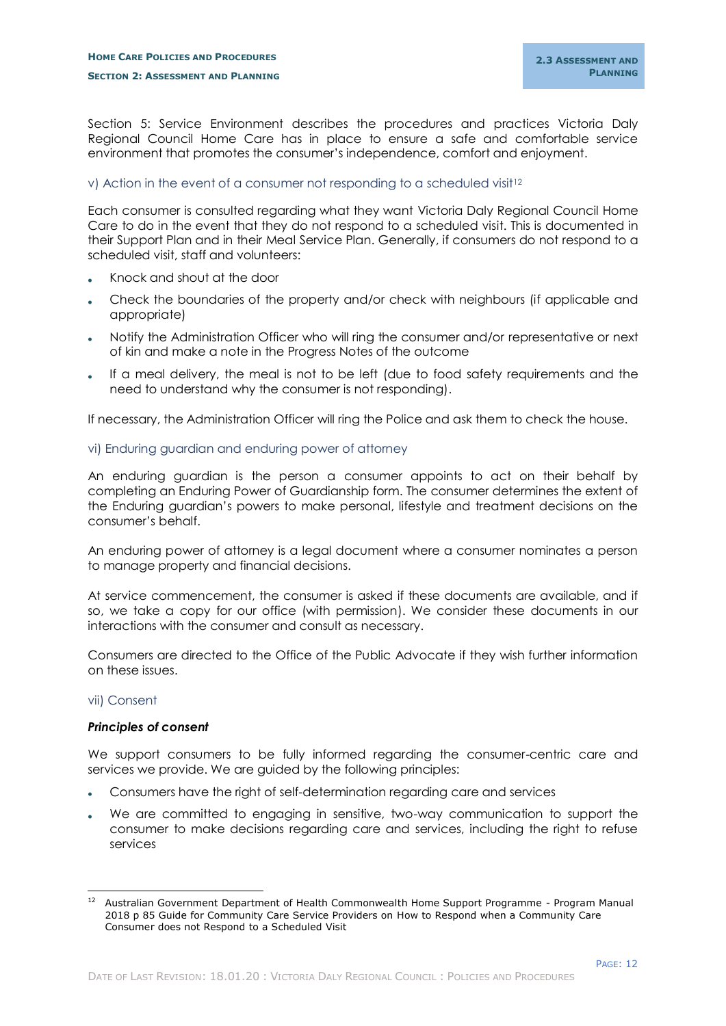Section 5: Service Environment describes the procedures and practices Victoria Daly Regional Council Home Care has in place to ensure a safe and comfortable service environment that promotes the consumer's independence, comfort and enjoyment.

## <span id="page-14-0"></span>v) Action in the event of a consumer not responding to a scheduled visit<sup>12</sup>

Each consumer is consulted regarding what they want Victoria Daly Regional Council Home Care to do in the event that they do not respond to a scheduled visit. This is documented in their Support Plan and in their Meal Service Plan. Generally, if consumers do not respond to a scheduled visit, staff and volunteers:

- Knock and shout at the door
- Check the boundaries of the property and/or check with neighbours (if applicable and appropriate)
- Notify the Administration Officer who will ring the consumer and/or representative or next of kin and make a note in the Progress Notes of the outcome
- If a meal delivery, the meal is not to be left (due to food safety requirements and the need to understand why the consumer is not responding).

If necessary, the Administration Officer will ring the Police and ask them to check the house.

## <span id="page-14-1"></span>vi) Enduring guardian and enduring power of attorney

An enduring guardian is the person a consumer appoints to act on their behalf by completing an Enduring Power of Guardianship form. The consumer determines the extent of the Enduring guardian's powers to make personal, lifestyle and treatment decisions on the consumer's behalf.

An enduring power of attorney is a legal document where a consumer nominates a person to manage property and financial decisions.

At service commencement, the consumer is asked if these documents are available, and if so, we take a copy for our office (with permission). We consider these documents in our interactions with the consumer and consult as necessary.

Consumers are directed to the Office of the Public Advocate if they wish further information on these issues.

#### <span id="page-14-2"></span>vii) Consent

#### *Principles of consent*

We support consumers to be fully informed regarding the consumer-centric care and services we provide. We are guided by the following principles:

- Consumers have the right of self-determination regarding care and services
- We are committed to engaging in sensitive, two-way communication to support the consumer to make decisions regarding care and services, including the right to refuse services

<sup>-</sup><sup>12</sup> Australian Government Department of Health Commonwealth Home Support Programme - Program Manual 2018 p 85 Guide for Community Care Service Providers on How to Respond when a Community Care Consumer does not Respond to a Scheduled Visit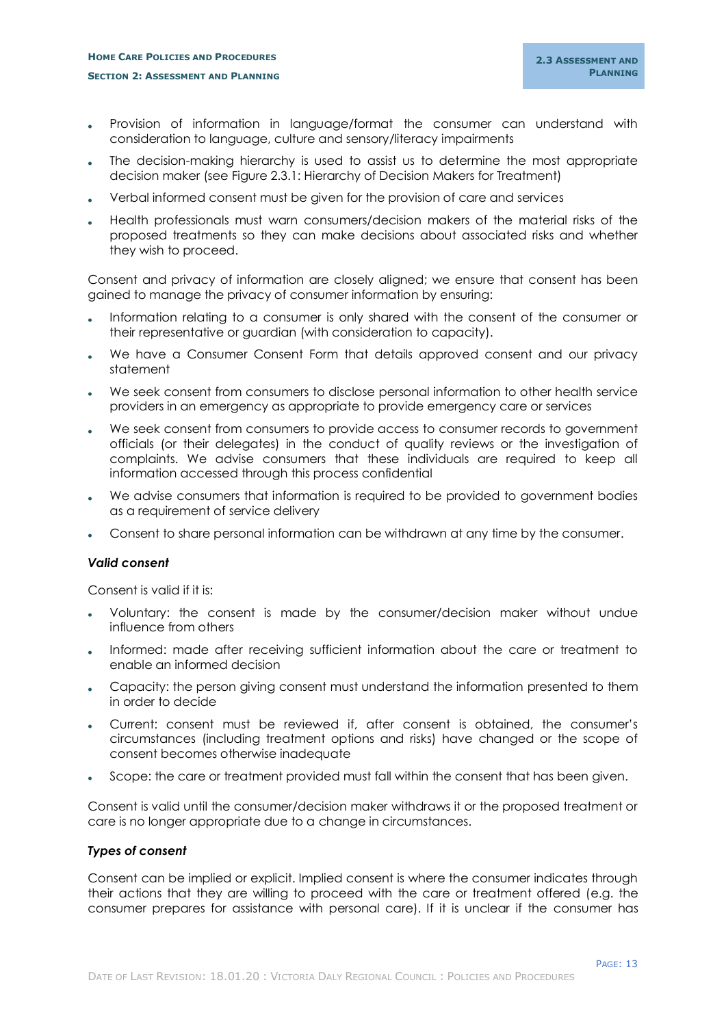## **HOME CARE POLICIES AND PROCEDURES SECTION 2: ASSESSMENT AND PLANNING**

- Provision of information in language/format the consumer can understand with consideration to language, culture and sensory/literacy impairments
- The decision-making hierarchy is used to assist us to determine the most appropriate decision maker (see Figure 2.3.1: Hierarchy of Decision Makers for Treatment)
- Verbal informed consent must be given for the provision of care and services
- Health professionals must warn consumers/decision makers of the material risks of the proposed treatments so they can make decisions about associated risks and whether they wish to proceed.

Consent and privacy of information are closely aligned; we ensure that consent has been gained to manage the privacy of consumer information by ensuring:

- Information relating to a consumer is only shared with the consent of the consumer or their representative or guardian (with consideration to capacity).
- We have a Consumer Consent Form that details approved consent and our privacy statement
- We seek consent from consumers to disclose personal information to other health service providers in an emergency as appropriate to provide emergency care or services
- We seek consent from consumers to provide access to consumer records to government officials (or their delegates) in the conduct of quality reviews or the investigation of complaints. We advise consumers that these individuals are required to keep all information accessed through this process confidential
- We advise consumers that information is required to be provided to government bodies as a requirement of service delivery
- Consent to share personal information can be withdrawn at any time by the consumer.

#### *Valid consent*

Consent is valid if it is:

- Voluntary: the consent is made by the consumer/decision maker without undue influence from others
- Informed: made after receiving sufficient information about the care or treatment to enable an informed decision
- Capacity: the person giving consent must understand the information presented to them in order to decide
- Current: consent must be reviewed if, after consent is obtained, the consumer's circumstances (including treatment options and risks) have changed or the scope of consent becomes otherwise inadequate
- Scope: the care or treatment provided must fall within the consent that has been given.

Consent is valid until the consumer/decision maker withdraws it or the proposed treatment or care is no longer appropriate due to a change in circumstances.

## *Types of consent*

Consent can be implied or explicit. Implied consent is where the consumer indicates through their actions that they are willing to proceed with the care or treatment offered (e.g. the consumer prepares for assistance with personal care). If it is unclear if the consumer has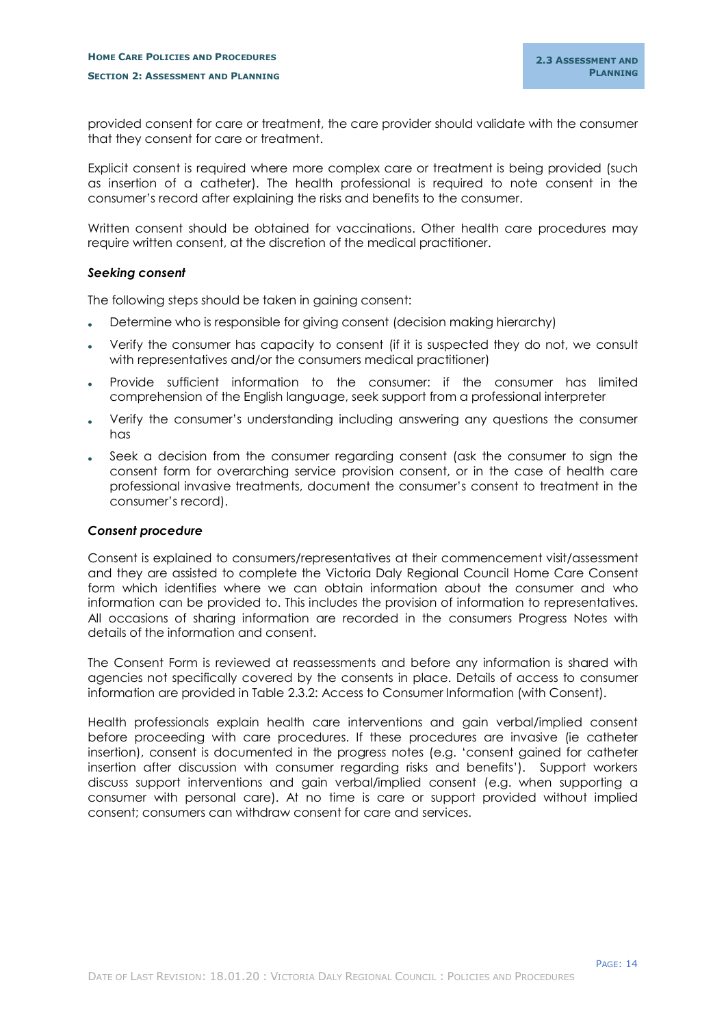provided consent for care or treatment, the care provider should validate with the consumer that they consent for care or treatment.

Explicit consent is required where more complex care or treatment is being provided (such as insertion of a catheter). The health professional is required to note consent in the consumer's record after explaining the risks and benefits to the consumer.

Written consent should be obtained for vaccinations. Other health care procedures may require written consent, at the discretion of the medical practitioner.

#### *Seeking consent*

The following steps should be taken in gaining consent:

- Determine who is responsible for giving consent (decision making hierarchy)
- Verify the consumer has capacity to consent (if it is suspected they do not, we consult with representatives and/or the consumers medical practitioner)
- Provide sufficient information to the consumer: if the consumer has limited comprehension of the English language, seek support from a professional interpreter
- Verify the consumer's understanding including answering any questions the consumer has
- Seek a decision from the consumer regarding consent (ask the consumer to sign the consent form for overarching service provision consent, or in the case of health care professional invasive treatments, document the consumer's consent to treatment in the consumer's record).

#### *Consent procedure*

Consent is explained to consumers/representatives at their commencement visit/assessment and they are assisted to complete the Victoria Daly Regional Council Home Care Consent form which identifies where we can obtain information about the consumer and who information can be provided to. This includes the provision of information to representatives. All occasions of sharing information are recorded in the consumers Progress Notes with details of the information and consent.

The Consent Form is reviewed at reassessments and before any information is shared with agencies not specifically covered by the consents in place. Details of access to consumer information are provided in Table 2.3.2: Access to Consumer Information (with Consent).

Health professionals explain health care interventions and gain verbal/implied consent before proceeding with care procedures. If these procedures are invasive (ie catheter insertion), consent is documented in the progress notes (e.g. 'consent gained for catheter insertion after discussion with consumer regarding risks and benefits'). Support workers discuss support interventions and gain verbal/implied consent (e.g. when supporting a consumer with personal care). At no time is care or support provided without implied consent; consumers can withdraw consent for care and services.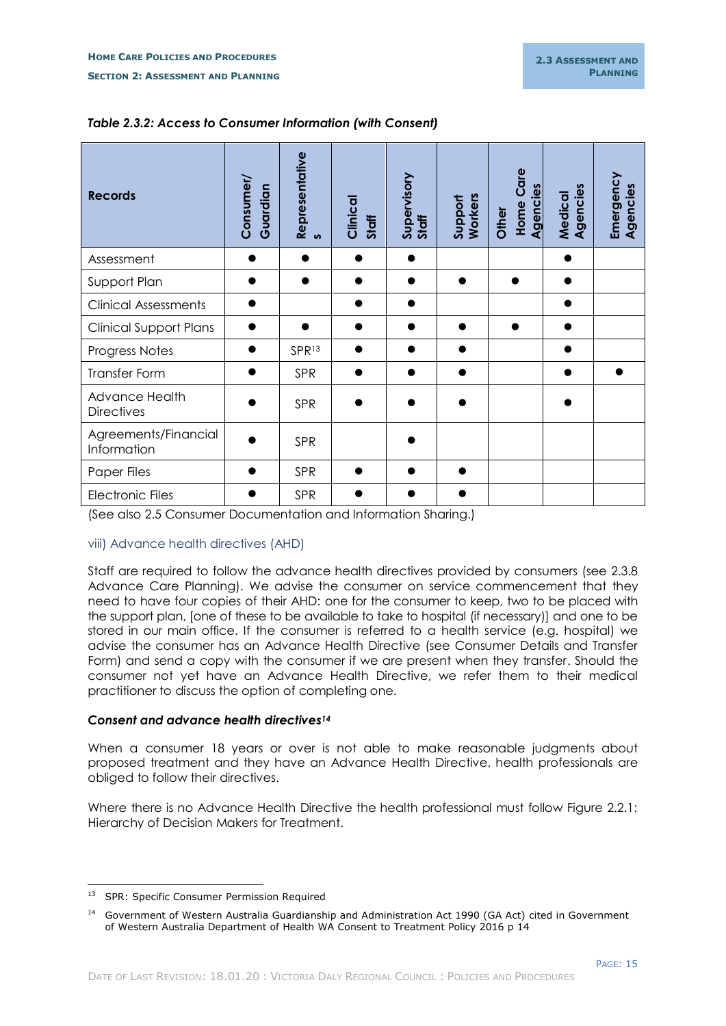| <b>Records</b>                      | Consumer/<br>Guardian | Representative<br>$\boldsymbol{v}$ | Clinical<br>Staff | Supervisory<br>Staff | Support<br>Workers | <b>Home Care</b><br>Agencies<br>Other | Agencies<br>Medical | Emergency<br>Agencies |
|-------------------------------------|-----------------------|------------------------------------|-------------------|----------------------|--------------------|---------------------------------------|---------------------|-----------------------|
| Assessment                          |                       |                                    |                   |                      |                    |                                       |                     |                       |
| Support Plan                        |                       |                                    |                   |                      | $\bullet$          |                                       |                     |                       |
| <b>Clinical Assessments</b>         |                       |                                    |                   |                      |                    |                                       |                     |                       |
| <b>Clinical Support Plans</b>       |                       |                                    |                   |                      |                    |                                       |                     |                       |
| Progress Notes                      |                       | SPR <sub>13</sub>                  |                   |                      |                    |                                       |                     |                       |
| Transfer Form                       |                       | <b>SPR</b>                         |                   |                      |                    |                                       |                     |                       |
| Advance Health<br><b>Directives</b> |                       | <b>SPR</b>                         |                   |                      |                    |                                       |                     |                       |
| Agreements/Financial<br>Information |                       | SPR                                |                   |                      |                    |                                       |                     |                       |
| Paper Files                         |                       | SPR                                |                   |                      |                    |                                       |                     |                       |
| <b>Electronic Files</b>             |                       | SPR                                |                   |                      |                    |                                       |                     |                       |

## *Table 2.3.2: Access to Consumer Information (with Consent)*

(See also 2.5 Consumer Documentation and Information Sharing.)

## <span id="page-17-0"></span>viii) Advance health directives (AHD)

Staff are required to follow the advance health directives provided by consumers (see 2.3.8 Advance Care Planning). We advise the consumer on service commencement that they need to have four copies of their AHD: one for the consumer to keep, two to be placed with the support plan, [one of these to be available to take to hospital (if necessary)] and one to be stored in our main office. If the consumer is referred to a health service (e.g. hospital) we advise the consumer has an Advance Health Directive (see Consumer Details and Transfer Form) and send a copy with the consumer if we are present when they transfer. Should the consumer not yet have an Advance Health Directive, we refer them to their medical practitioner to discuss the option of completing one.

## *Consent and advance health directives<sup>14</sup>*

When a consumer 18 years or over is not able to make reasonable judgments about proposed treatment and they have an Advance Health Directive, health professionals are obliged to follow their directives.

Where there is no Advance Health Directive the health professional must follow Figure 2.2.1: Hierarchy of Decision Makers for Treatment.

<sup>-</sup><sup>13</sup> SPR: Specific Consumer Permission Required

<sup>&</sup>lt;sup>14</sup> Government of Western Australia Guardianship and Administration Act 1990 (GA Act) cited in Government of Western Australia Department of Health WA Consent to Treatment Policy 2016 p 14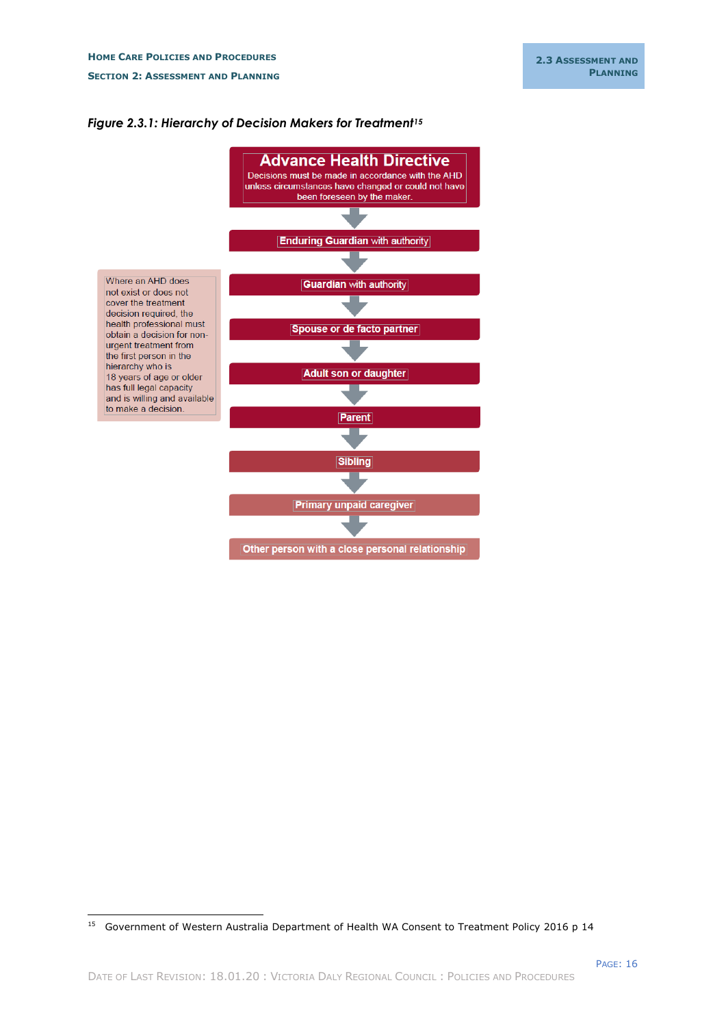

## *Figure 2.3.1: Hierarchy of Decision Makers for Treatment<sup>15</sup>*

-

<sup>&</sup>lt;sup>15</sup> Government of Western Australia Department of Health WA Consent to Treatment Policy 2016 p 14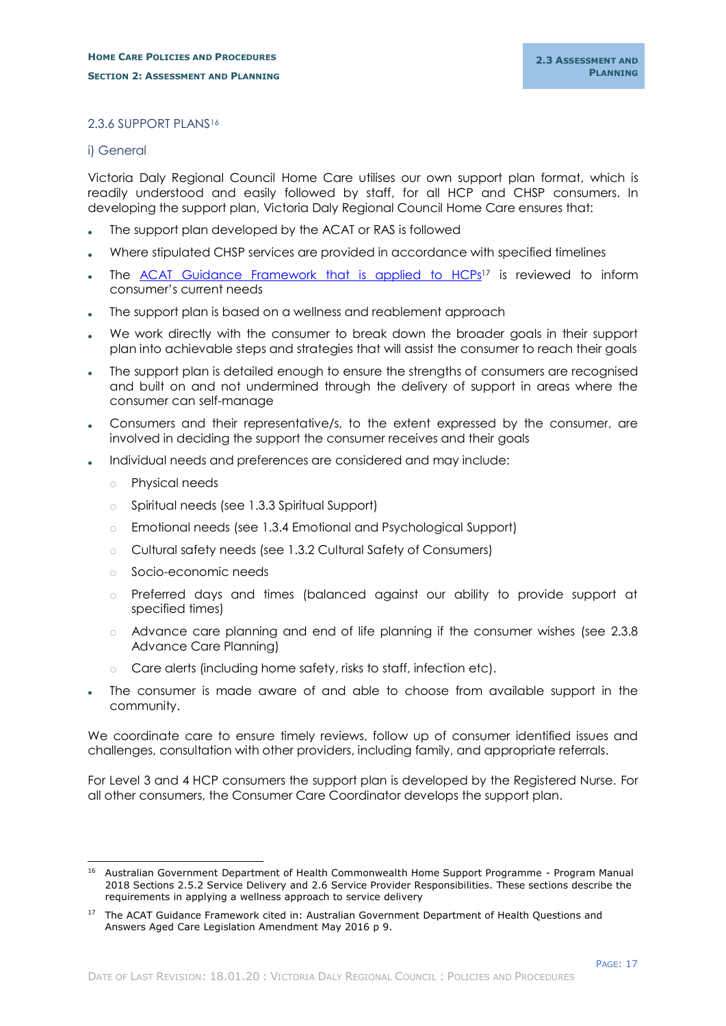## <span id="page-19-0"></span>2.3.6 SUPPORT PLANS<sup>16</sup>

#### <span id="page-19-1"></span>i) General

Victoria Daly Regional Council Home Care utilises our own support plan format, which is readily understood and easily followed by staff, for all HCP and CHSP consumers. In developing the support plan, Victoria Daly Regional Council Home Care ensures that:

- The support plan developed by the ACAT or RAS is followed
- Where stipulated CHSP services are provided in accordance with specified timelines
- The [ACAT Guidance Framework that is applied](../../../Leslie%20Gevers/Downloads/acat_guidance_framework_for_hcp_level_stage_1_v1.1.pdf) to HCPs<sup>17</sup> is reviewed to inform consumer's current needs
- The support plan is based on a wellness and reablement approach
- We work directly with the consumer to break down the broader goals in their support plan into achievable steps and strategies that will assist the consumer to reach their goals
- The support plan is detailed enough to ensure the strengths of consumers are recognised and built on and not undermined through the delivery of support in areas where the consumer can self-manage
- Consumers and their representative/s, to the extent expressed by the consumer, are involved in deciding the support the consumer receives and their goals
- Individual needs and preferences are considered and may include:
	- o Physical needs
	- o Spiritual needs (see 1.3.3 Spiritual Support)
	- o Emotional needs (see 1.3.4 Emotional and Psychological Support)
	- o Cultural safety needs (see 1.3.2 Cultural Safety of Consumers)
	- o Socio-economic needs
	- o Preferred days and times (balanced against our ability to provide support at specified times)
	- o Advance care planning and end of life planning if the consumer wishes (see 2.3.8 Advance Care Planning)
	- Care alerts (including home safety, risks to staff, infection etc).
- The consumer is made aware of and able to choose from available support in the community.

We coordinate care to ensure timely reviews, follow up of consumer identified issues and challenges, consultation with other providers, including family, and appropriate referrals.

For Level 3 and 4 HCP consumers the support plan is developed by the Registered Nurse. For all other consumers, the Consumer Care Coordinator develops the support plan.

i, <sup>16</sup> Australian Government Department of Health Commonwealth Home Support Programme - Program Manual 2018 Sections 2.5.2 Service Delivery and 2.6 Service Provider Responsibilities. These sections describe the requirements in applying a wellness approach to service delivery

<sup>&</sup>lt;sup>17</sup> The ACAT Guidance Framework cited in: Australian Government Department of Health Questions and Answers Aged Care Legislation Amendment May 2016 p 9.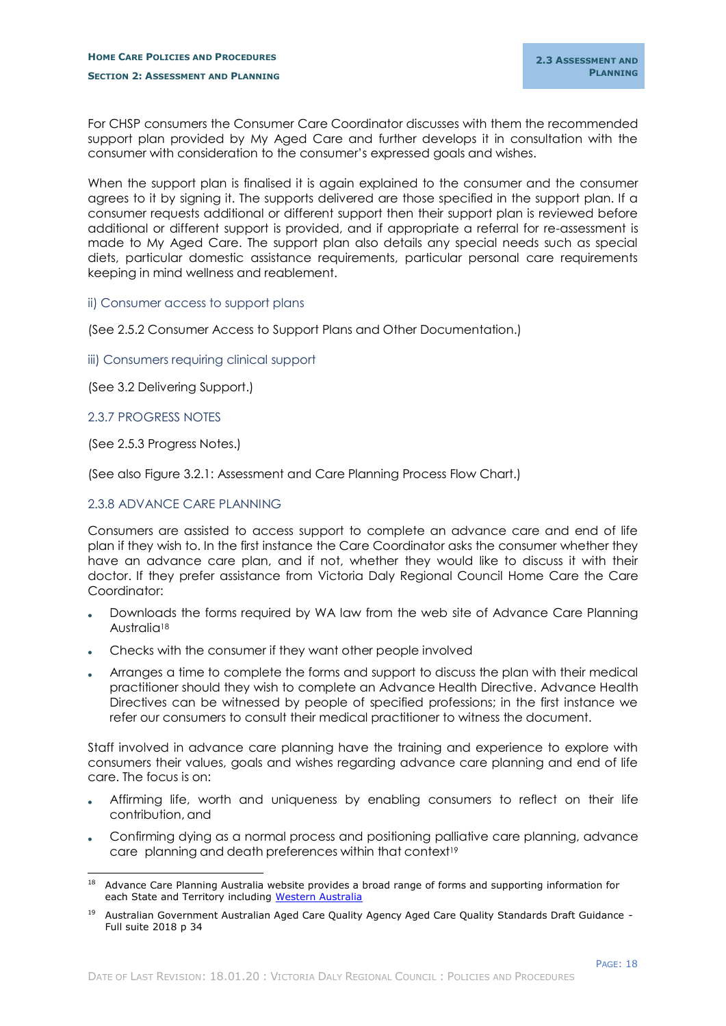For CHSP consumers the Consumer Care Coordinator discusses with them the recommended support plan provided by My Aged Care and further develops it in consultation with the consumer with consideration to the consumer's expressed goals and wishes.

When the support plan is finalised it is again explained to the consumer and the consumer agrees to it by signing it. The supports delivered are those specified in the support plan. If a consumer requests additional or different support then their support plan is reviewed before additional or different support is provided, and if appropriate a referral for re-assessment is made to My Aged Care. The support plan also details any special needs such as special diets, particular domestic assistance requirements, particular personal care requirements keeping in mind wellness and reablement.

## <span id="page-20-0"></span>ii) Consumer access to support plans

(See 2.5.2 Consumer Access to Support Plans and Other Documentation.)

<span id="page-20-1"></span>iii) Consumers requiring clinical support

(See 3.2 Delivering Support.)

#### <span id="page-20-2"></span>2.3.7 PROGRESS NOTES

-

(See 2.5.3 Progress Notes.)

(See also Figure 3.2.1: Assessment and Care Planning Process Flow Chart.)

## <span id="page-20-3"></span>2.3.8 ADVANCE CARE PLANNING

Consumers are assisted to access support to complete an advance care and end of life plan if they wish to. In the first instance the Care Coordinator asks the consumer whether they have an advance care plan, and if not, whether they would like to discuss it with their doctor. If they prefer assistance from Victoria Daly Regional Council Home Care the Care Coordinator:

- Downloads the forms required by WA law from the web site of Advance Care Planning Australia<sup>18</sup>
- Checks with the consumer if they want other people involved
- Arranges a time to complete the forms and support to discuss the plan with their medical practitioner should they wish to complete an Advance Health Directive. Advance Health Directives can be witnessed by people of specified professions; in the first instance we refer our consumers to consult their medical practitioner to witness the document.

Staff involved in advance care planning have the training and experience to explore with consumers their values, goals and wishes regarding advance care planning and end of life care. The focus is on:

- Affirming life, worth and uniqueness by enabling consumers to reflect on their life contribution, and
- Confirming dying as a normal process and positioning palliative care planning, advance care planning and death preferences within that context<sup>19</sup>

<sup>&</sup>lt;sup>18</sup> Advance Care Planning Australia website provides a broad range of forms and supporting information for each State and Territory including [Western Australia](https://www.advancecareplanning.org.au/resources/advance-care-planning-for-your-state-territory/wa)

<sup>19</sup> Australian Government Australian Aged Care Quality Agency Aged Care Quality Standards Draft Guidance -Full suite 2018 p 34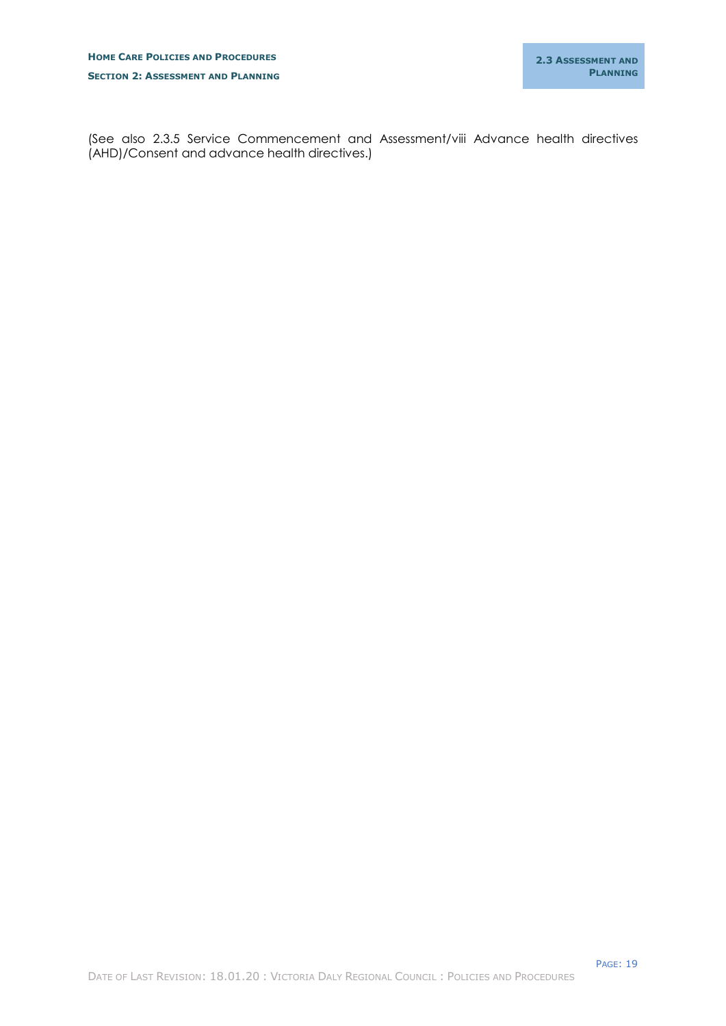(See also 2.3.5 Service Commencement and Assessment/viii Advance health directives (AHD)/Consent and advance health directives.)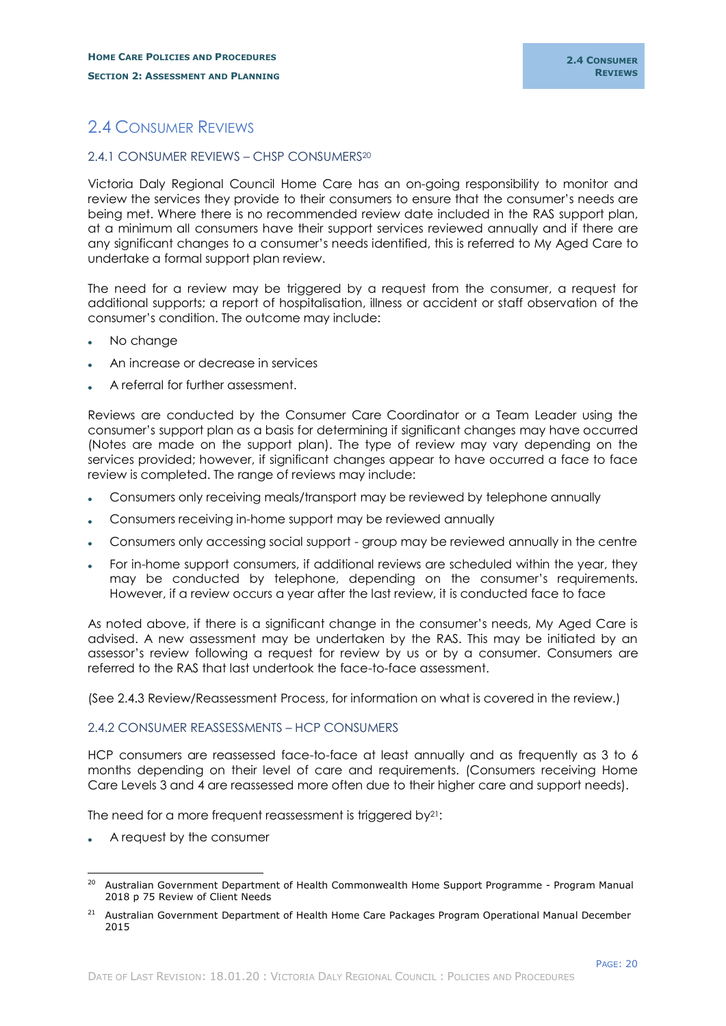# <span id="page-22-0"></span>2.4 CONSUMER REVIEWS

#### <span id="page-22-1"></span>2.4.1 CONSUMER REVIEWS – CHSP CONSUMERS<sup>20</sup>

Victoria Daly Regional Council Home Care has an on-going responsibility to monitor and review the services they provide to their consumers to ensure that the consumer's needs are being met. Where there is no recommended review date included in the RAS support plan, at a minimum all consumers have their support services reviewed annually and if there are any significant changes to a consumer's needs identified, this is referred to My Aged Care to undertake a formal support plan review.

The need for a review may be triggered by a request from the consumer, a request for additional supports; a report of hospitalisation, illness or accident or staff observation of the consumer's condition. The outcome may include:

- No change
- An increase or decrease in services
- A referral for further assessment.

Reviews are conducted by the Consumer Care Coordinator or a Team Leader using the consumer's support plan as a basis for determining if significant changes may have occurred (Notes are made on the support plan). The type of review may vary depending on the services provided; however, if significant changes appear to have occurred a face to face review is completed. The range of reviews may include:

- Consumers only receiving meals/transport may be reviewed by telephone annually
- Consumers receiving in-home support may be reviewed annually
- Consumers only accessing social support group may be reviewed annually in the centre
- For in-home support consumers, if additional reviews are scheduled within the year, they may be conducted by telephone, depending on the consumer's requirements. However, if a review occurs a year after the last review, it is conducted face to face

As noted above, if there is a significant change in the consumer's needs, My Aged Care is advised. A new assessment may be undertaken by the RAS. This may be initiated by an assessor's review following a request for review by us or by a consumer. Consumers are referred to the RAS that last undertook the face-to-face assessment.

(See 2.4.3 Review/Reassessment Process, for information on what is covered in the review.)

## <span id="page-22-2"></span>2.4.2 CONSUMER REASSESSMENTS – HCP CONSUMERS

HCP consumers are reassessed face-to-face at least annually and as frequently as 3 to 6 months depending on their level of care and requirements. (Consumers receiving Home Care Levels 3 and 4 are reassessed more often due to their higher care and support needs).

The need for a more frequent reassessment is triggered by<sup>21</sup>:

A request by the consumer

<sup>-</sup><sup>20</sup> Australian Government Department of Health Commonwealth Home Support Programme - Program Manual 2018 p 75 Review of Client Needs

<sup>&</sup>lt;sup>21</sup> Australian Government Department of Health Home Care Packages Program Operational Manual December 2015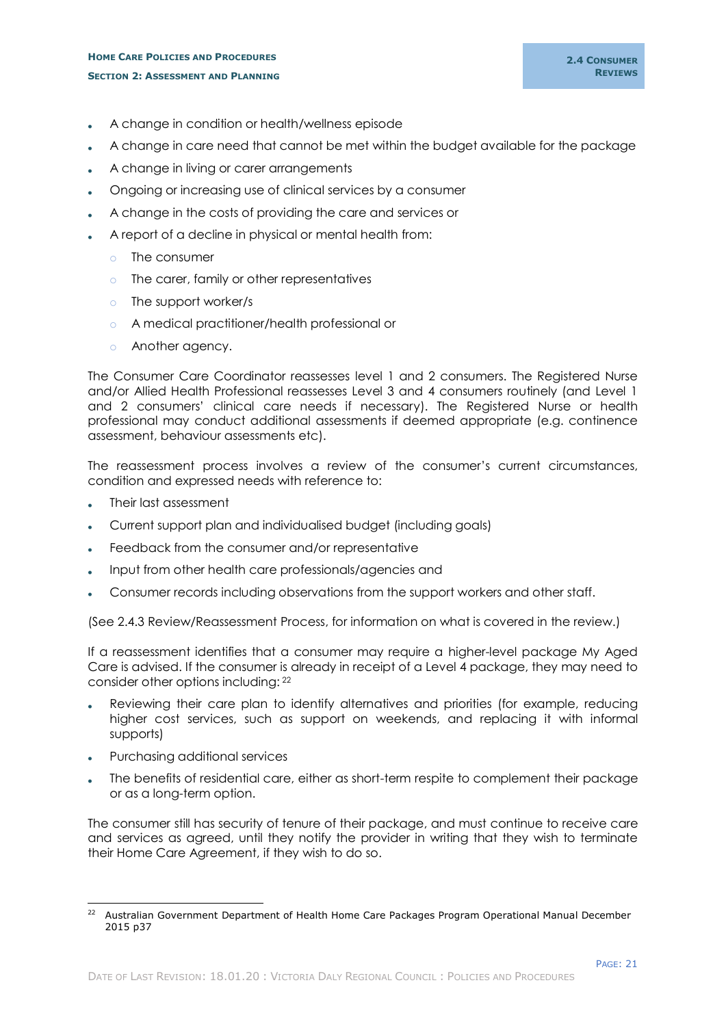## **HOME CARE POLICIES AND PROCEDURES SECTION 2: ASSESSMENT AND PLANNING**

- A change in condition or health/wellness episode
- A change in care need that cannot be met within the budget available for the package
- A change in living or carer arrangements
- Ongoing or increasing use of clinical services by a consumer
- A change in the costs of providing the care and services or
- A report of a decline in physical or mental health from:
	- o The consumer
	- o The carer, family or other representatives
	- o The support worker/s
	- o A medical practitioner/health professional or
	- o Another agency.

The Consumer Care Coordinator reassesses level 1 and 2 consumers. The Registered Nurse and/or Allied Health Professional reassesses Level 3 and 4 consumers routinely (and Level 1 and 2 consumers' clinical care needs if necessary). The Registered Nurse or health professional may conduct additional assessments if deemed appropriate (e.g. continence assessment, behaviour assessments etc).

The reassessment process involves a review of the consumer's current circumstances, condition and expressed needs with reference to:

- Their last assessment
- Current support plan and individualised budget (including goals)
- Feedback from the consumer and/or representative
- Input from other health care professionals/agencies and
- Consumer records including observations from the support workers and other staff.

(See 2.4.3 Review/Reassessment Process, for information on what is covered in the review.)

If a reassessment identifies that a consumer may require a higher-level package My Aged Care is advised. If the consumer is already in receipt of a Level 4 package, they may need to consider other options including: <sup>22</sup>

- Reviewing their care plan to identify alternatives and priorities (for example, reducing higher cost services, such as support on weekends, and replacing it with informal supports)
- Purchasing additional services
- The benefits of residential care, either as short-term respite to complement their package or as a long-term option.

The consumer still has security of tenure of their package, and must continue to receive care and services as agreed, until they notify the provider in writing that they wish to terminate their Home Care Agreement, if they wish to do so.

<sup>-</sup><sup>22</sup> Australian Government Department of Health Home Care Packages Program Operational Manual December 2015 p37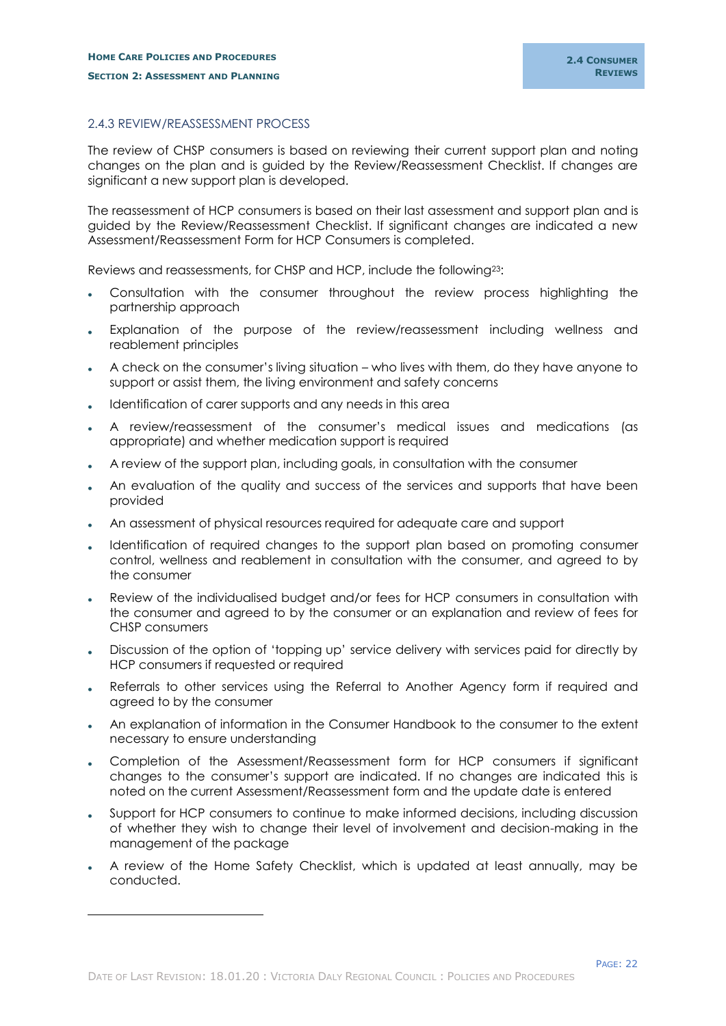## <span id="page-24-0"></span>2.4.3 REVIEW/REASSESSMENT PROCESS

The review of CHSP consumers is based on reviewing their current support plan and noting changes on the plan and is guided by the Review/Reassessment Checklist. If changes are significant a new support plan is developed.

The reassessment of HCP consumers is based on their last assessment and support plan and is guided by the Review/Reassessment Checklist. If significant changes are indicated a new Assessment/Reassessment Form for HCP Consumers is completed.

Reviews and reassessments, for CHSP and HCP, include the following23:

- Consultation with the consumer throughout the review process highlighting the partnership approach
- Explanation of the purpose of the review/reassessment including wellness and reablement principles
- A check on the consumer's living situation who lives with them, do they have anyone to support or assist them, the living environment and safety concerns
- Identification of carer supports and any needs in this area
- A review/reassessment of the consumer's medical issues and medications (as appropriate) and whether medication support is required
- A review of the support plan, including goals, in consultation with the consumer
- An evaluation of the quality and success of the services and supports that have been provided
- An assessment of physical resources required for adequate care and support
- Identification of required changes to the support plan based on promoting consumer control, wellness and reablement in consultation with the consumer, and agreed to by the consumer
- Review of the individualised budget and/or fees for HCP consumers in consultation with the consumer and agreed to by the consumer or an explanation and review of fees for CHSP consumers
- Discussion of the option of 'topping up' service delivery with services paid for directly by HCP consumers if requested or required
- Referrals to other services using the Referral to Another Agency form if required and agreed to by the consumer
- An explanation of information in the Consumer Handbook to the consumer to the extent necessary to ensure understanding
- Completion of the Assessment/Reassessment form for HCP consumers if significant changes to the consumer's support are indicated. If no changes are indicated this is noted on the current Assessment/Reassessment form and the update date is entered
- Support for HCP consumers to continue to make informed decisions, including discussion of whether they wish to change their level of involvement and decision-making in the management of the package
- A review of the Home Safety Checklist, which is updated at least annually, may be conducted.

-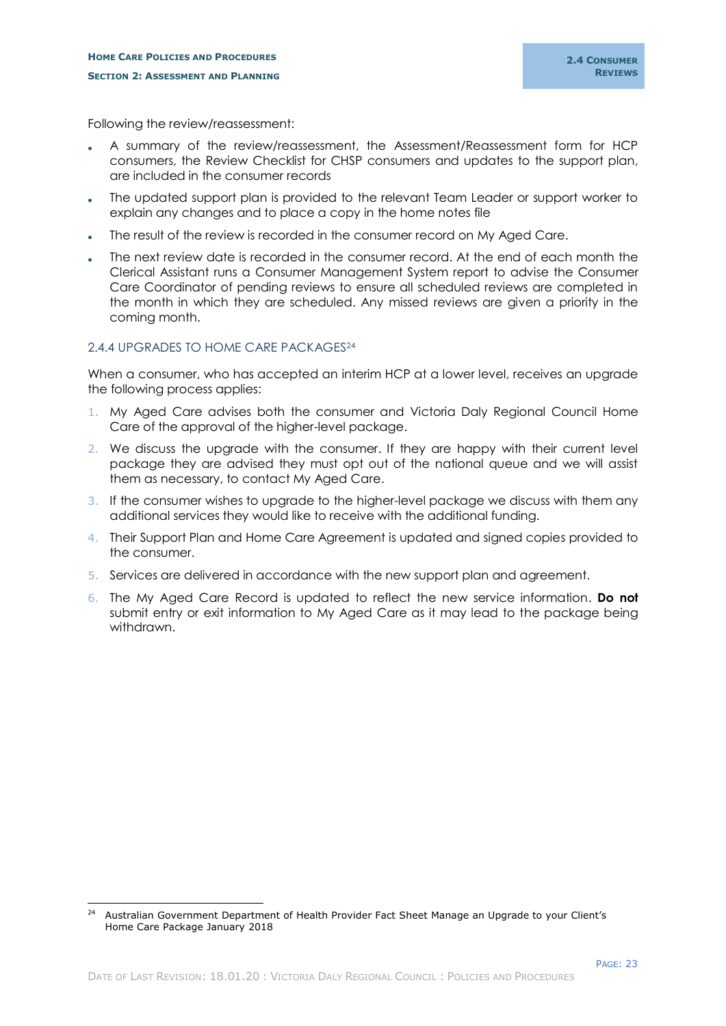Following the review/reassessment:

- A summary of the review/reassessment, the Assessment/Reassessment form for HCP consumers, the Review Checklist for CHSP consumers and updates to the support plan, are included in the consumer records
- The updated support plan is provided to the relevant Team Leader or support worker to explain any changes and to place a copy in the home notes file
- The result of the review is recorded in the consumer record on My Aged Care.
- The next review date is recorded in the consumer record. At the end of each month the Clerical Assistant runs a Consumer Management System report to advise the Consumer Care Coordinator of pending reviews to ensure all scheduled reviews are completed in the month in which they are scheduled. Any missed reviews are given a priority in the coming month.

## <span id="page-25-0"></span>2.4.4 UPGRADES TO HOME CARE PACKAGES<sup>24</sup>

-

When a consumer, who has accepted an interim HCP at a lower level, receives an upgrade the following process applies:

- 1. My Aged Care advises both the consumer and Victoria Daly Regional Council Home Care of the approval of the higher-level package.
- 2. We discuss the upgrade with the consumer. If they are happy with their current level package they are advised they must opt out of the national queue and we will assist them as necessary, to contact My Aged Care.
- 3. If the consumer wishes to upgrade to the higher-level package we discuss with them any additional services they would like to receive with the additional funding.
- 4. Their Support Plan and Home Care Agreement is updated and signed copies provided to the consumer.
- 5. Services are delivered in accordance with the new support plan and agreement.
- 6. The My Aged Care Record is updated to reflect the new service information. **Do not** submit entry or exit information to My Aged Care as it may lead to the package being withdrawn.

<sup>&</sup>lt;sup>24</sup> Australian Government Department of Health Provider Fact Sheet Manage an Upgrade to your Client's Home Care Package January 2018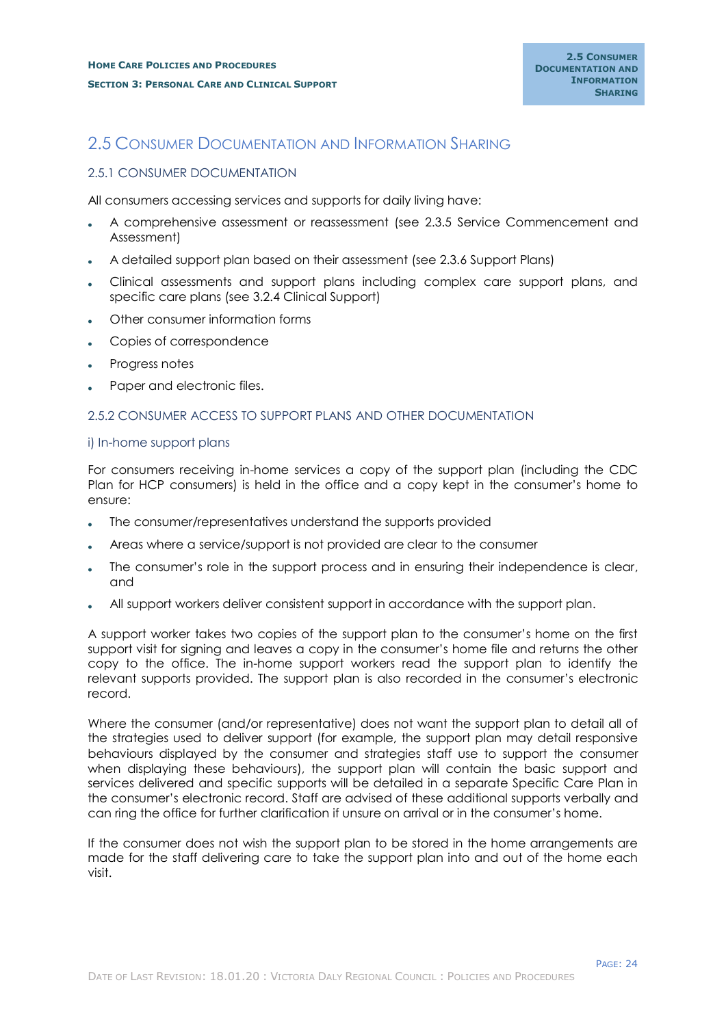# <span id="page-26-0"></span>2.5 CONSUMER DOCUMENTATION AND INFORMATION SHARING

## <span id="page-26-1"></span>2.5.1 CONSUMER DOCUMENTATION

All consumers accessing services and supports for daily living have:

- A comprehensive assessment or reassessment (see 2.3.5 Service Commencement and Assessment)
- A detailed support plan based on their assessment (see 2.3.6 Support Plans)
- Clinical assessments and support plans including complex care support plans, and specific care plans (see 3.2.4 Clinical Support)
- Other consumer information forms
- Copies of correspondence
- Progress notes
- Paper and electronic files.

## <span id="page-26-2"></span>2.5.2 CONSUMER ACCESS TO SUPPORT PLANS AND OTHER DOCUMENTATION

#### <span id="page-26-3"></span>i) In-home support plans

For consumers receiving in-home services a copy of the support plan (including the CDC Plan for HCP consumers) is held in the office and a copy kept in the consumer's home to ensure:

- The consumer/representatives understand the supports provided
- Areas where a service/support is not provided are clear to the consumer
- The consumer's role in the support process and in ensuring their independence is clear, and
- All support workers deliver consistent support in accordance with the support plan.

A support worker takes two copies of the support plan to the consumer's home on the first support visit for signing and leaves a copy in the consumer's home file and returns the other copy to the office. The in-home support workers read the support plan to identify the relevant supports provided. The support plan is also recorded in the consumer's electronic record.

Where the consumer (and/or representative) does not want the support plan to detail all of the strategies used to deliver support (for example, the support plan may detail responsive behaviours displayed by the consumer and strategies staff use to support the consumer when displaying these behaviours), the support plan will contain the basic support and services delivered and specific supports will be detailed in a separate Specific Care Plan in the consumer's electronic record. Staff are advised of these additional supports verbally and can ring the office for further clarification if unsure on arrival or in the consumer's home.

If the consumer does not wish the support plan to be stored in the home arrangements are made for the staff delivering care to take the support plan into and out of the home each visit.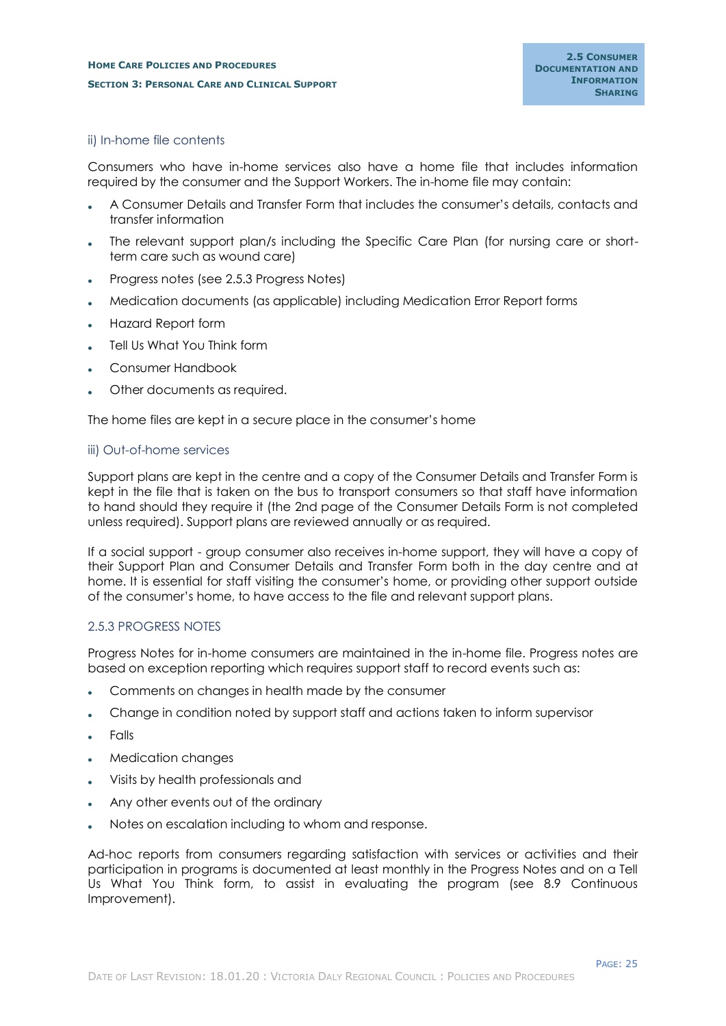## <span id="page-27-0"></span>ii) In-home file contents

Consumers who have in-home services also have a home file that includes information required by the consumer and the Support Workers. The in-home file may contain:

- A Consumer Details and Transfer Form that includes the consumer's details, contacts and transfer information
- The relevant support plan/s including the Specific Care Plan (for nursing care or shortterm care such as wound care)
- Progress notes (see 2.5.3 Progress Notes)
- Medication documents (as applicable) including Medication Error Report forms
- Hazard Report form
- Tell Us What You Think form
- Consumer Handbook
- Other documents as required.

The home files are kept in a secure place in the consumer's home

#### <span id="page-27-1"></span>iii) Out-of-home services

Support plans are kept in the centre and a copy of the Consumer Details and Transfer Form is kept in the file that is taken on the bus to transport consumers so that staff have information to hand should they require it (the 2nd page of the Consumer Details Form is not completed unless required). Support plans are reviewed annually or as required.

If a social support - group consumer also receives in-home support, they will have a copy of their Support Plan and Consumer Details and Transfer Form both in the day centre and at home. It is essential for staff visiting the consumer's home, or providing other support outside of the consumer's home, to have access to the file and relevant support plans.

#### <span id="page-27-2"></span>2.5.3 PROGRESS NOTES

Progress Notes for in-home consumers are maintained in the in-home file. Progress notes are based on exception reporting which requires support staff to record events such as:

- Comments on changes in health made by the consumer
- Change in condition noted by support staff and actions taken to inform supervisor
- Falls
- Medication changes
- Visits by health professionals and
- Any other events out of the ordinary
- Notes on escalation including to whom and response.

Ad-hoc reports from consumers regarding satisfaction with services or activities and their participation in programs is documented at least monthly in the Progress Notes and on a Tell Us What You Think form, to assist in evaluating the program (see 8.9 Continuous Improvement).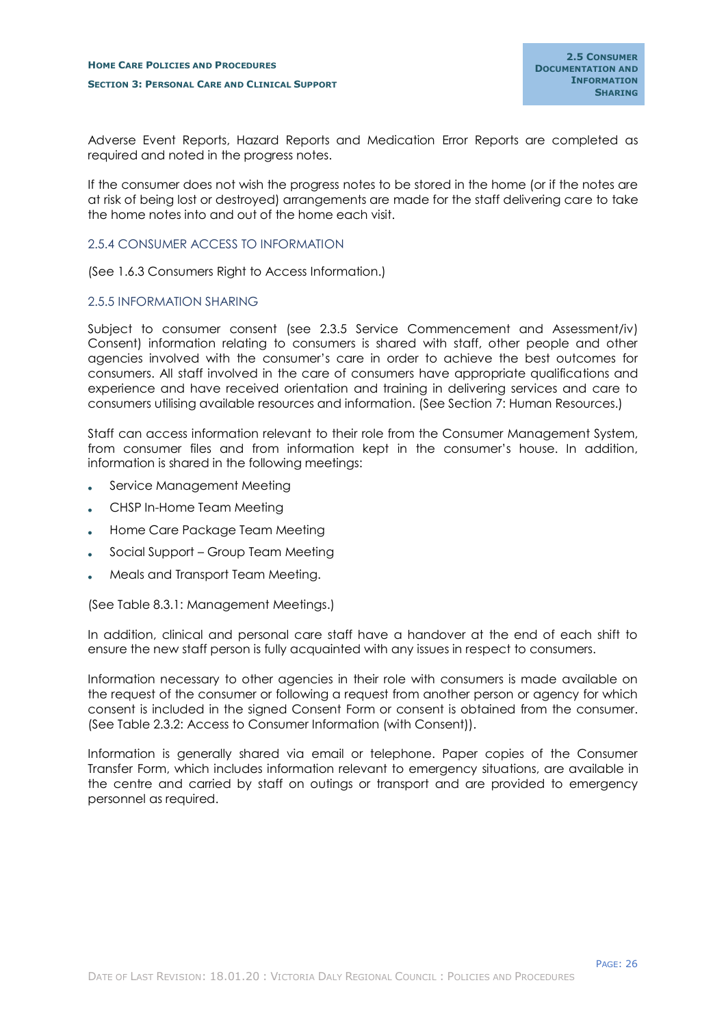Adverse Event Reports, Hazard Reports and Medication Error Reports are completed as required and noted in the progress notes.

If the consumer does not wish the progress notes to be stored in the home (or if the notes are at risk of being lost or destroyed) arrangements are made for the staff delivering care to take the home notes into and out of the home each visit.

## <span id="page-28-0"></span>2.5.4 CONSUMER ACCESS TO INFORMATION

(See 1.6.3 Consumers Right to Access Information.)

## <span id="page-28-1"></span>2.5.5 INFORMATION SHARING

Subject to consumer consent (see 2.3.5 Service Commencement and Assessment/iv) Consent) information relating to consumers is shared with staff, other people and other agencies involved with the consumer's care in order to achieve the best outcomes for consumers. All staff involved in the care of consumers have appropriate qualifications and experience and have received orientation and training in delivering services and care to consumers utilising available resources and information. (See Section 7: Human Resources.)

Staff can access information relevant to their role from the Consumer Management System, from consumer files and from information kept in the consumer's house. In addition, information is shared in the following meetings:

- Service Management Meeting
- CHSP In-Home Team Meeting
- Home Care Package Team Meeting
- Social Support Group Team Meeting
- Meals and Transport Team Meeting.

(See Table 8.3.1: Management Meetings.)

In addition, clinical and personal care staff have a handover at the end of each shift to ensure the new staff person is fully acquainted with any issues in respect to consumers.

Information necessary to other agencies in their role with consumers is made available on the request of the consumer or following a request from another person or agency for which consent is included in the signed Consent Form or consent is obtained from the consumer. (See Table 2.3.2: Access to Consumer Information (with Consent)).

Information is generally shared via email or telephone. Paper copies of the Consumer Transfer Form, which includes information relevant to emergency situations, are available in the centre and carried by staff on outings or transport and are provided to emergency personnel as required.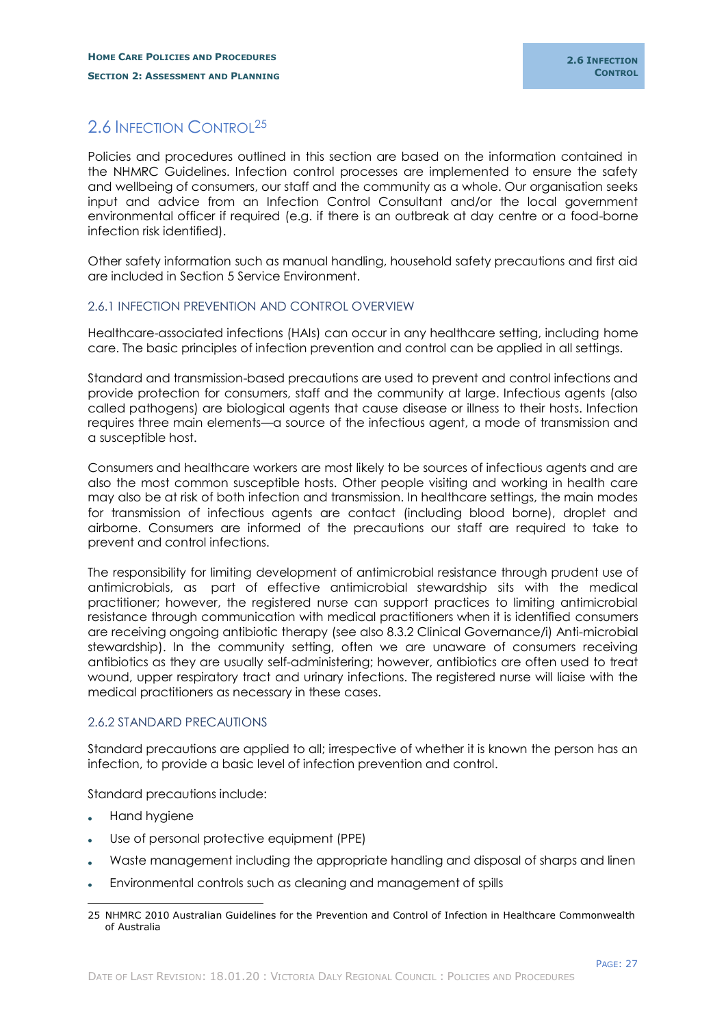# <span id="page-29-0"></span>2.6 INFECTION CONTROL<sup>25</sup>

Policies and procedures outlined in this section are based on the information contained in the NHMRC Guidelines. Infection control processes are implemented to ensure the safety and wellbeing of consumers, our staff and the community as a whole. Our organisation seeks input and advice from an Infection Control Consultant and/or the local government environmental officer if required (e.g. if there is an outbreak at day centre or a food-borne infection risk identified).

Other safety information such as manual handling, household safety precautions and first aid are included in Section 5 Service Environment.

## <span id="page-29-1"></span>2.6.1 INFECTION PREVENTION AND CONTROL OVERVIEW

Healthcare-associated infections (HAIs) can occur in any healthcare setting, including home care. The basic principles of infection prevention and control can be applied in all settings.

Standard and transmission-based precautions are used to prevent and control infections and provide protection for consumers, staff and the community at large. Infectious agents (also called pathogens) are biological agents that cause disease or illness to their hosts. Infection requires three main elements—a source of the infectious agent, a mode of transmission and a susceptible host.

Consumers and healthcare workers are most likely to be sources of infectious agents and are also the most common susceptible hosts. Other people visiting and working in health care may also be at risk of both infection and transmission. In healthcare settings, the main modes for transmission of infectious agents are contact (including blood borne), droplet and airborne. Consumers are informed of the precautions our staff are required to take to prevent and control infections.

The responsibility for limiting development of antimicrobial resistance through prudent use of antimicrobials, as part of effective antimicrobial stewardship sits with the medical practitioner; however, the registered nurse can support practices to limiting antimicrobial resistance through communication with medical practitioners when it is identified consumers are receiving ongoing antibiotic therapy (see also 8.3.2 Clinical Governance/i) Anti-microbial stewardship). In the community setting, often we are unaware of consumers receiving antibiotics as they are usually self-administering; however, antibiotics are often used to treat wound, upper respiratory tract and urinary infections. The registered nurse will liaise with the medical practitioners as necessary in these cases.

## <span id="page-29-2"></span>2.6.2 STANDARD PRECAUTIONS

Standard precautions are applied to all; irrespective of whether it is known the person has an infection, to provide a basic level of infection prevention and control.

Standard precautions include:

- Hand hygiene
- Use of personal protective equipment (PPE)
- Waste management including the appropriate handling and disposal of sharps and linen
- Environmental controls such as cleaning and management of spills

<sup>-</sup>25 NHMRC 2010 Australian Guidelines for the Prevention and Control of Infection in Healthcare Commonwealth of Australia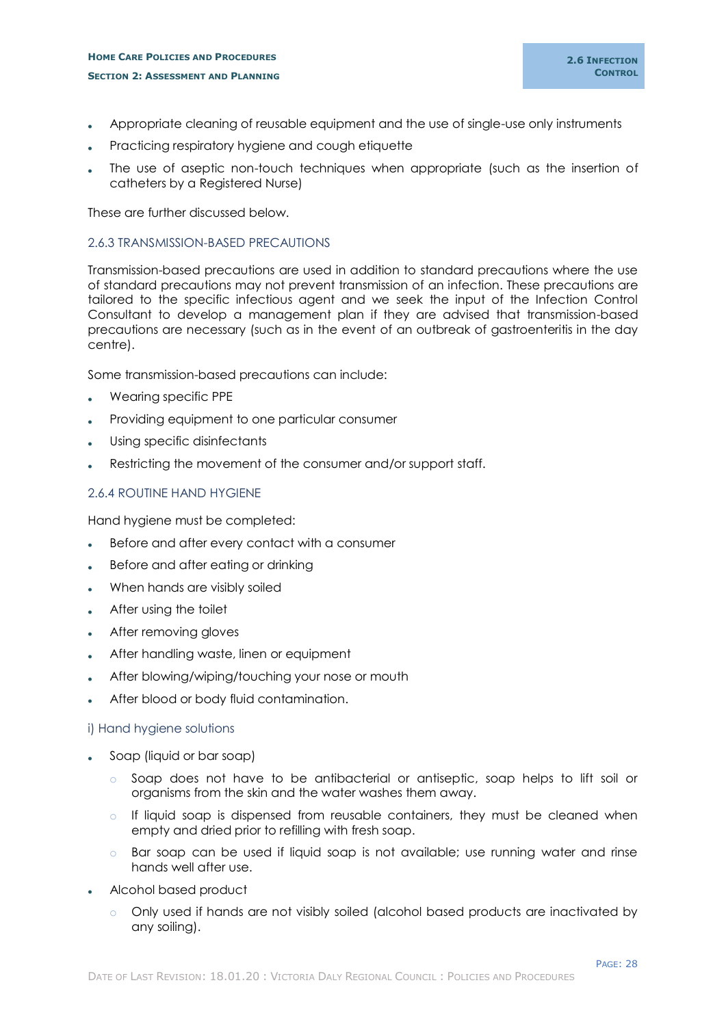## **HOME CARE POLICIES AND PROCEDURES SECTION 2: ASSESSMENT AND PLANNING**

- Appropriate cleaning of reusable equipment and the use of single-use only instruments
- Practicing respiratory hygiene and cough etiquette
- The use of aseptic non-touch techniques when appropriate (such as the insertion of catheters by a Registered Nurse)

These are further discussed below.

## <span id="page-30-0"></span>2.6.3 TRANSMISSION-BASED PRECAUTIONS

Transmission-based precautions are used in addition to standard precautions where the use of standard precautions may not prevent transmission of an infection. These precautions are tailored to the specific infectious agent and we seek the input of the Infection Control Consultant to develop a management plan if they are advised that transmission-based precautions are necessary (such as in the event of an outbreak of gastroenteritis in the day centre).

Some transmission-based precautions can include:

- Wearing specific PPE
- Providing equipment to one particular consumer
- Using specific disinfectants
- Restricting the movement of the consumer and/or support staff.

## <span id="page-30-1"></span>2.6.4 ROUTINE HAND HYGIENE

Hand hygiene must be completed:

- Before and after every contact with a consumer
- Before and after eating or drinking
- When hands are visibly soiled
- After using the toilet
- After removing gloves
- After handling waste, linen or equipment
- After blowing/wiping/touching your nose or mouth
- After blood or body fluid contamination.

#### <span id="page-30-2"></span>i) Hand hygiene solutions

- Soap (liquid or bar soap)
	- o Soap does not have to be antibacterial or antiseptic, soap helps to lift soil or organisms from the skin and the water washes them away.
	- o If liquid soap is dispensed from reusable containers, they must be cleaned when empty and dried prior to refilling with fresh soap.
	- o Bar soap can be used if liquid soap is not available; use running water and rinse hands well after use.
- Alcohol based product
	- o Only used if hands are not visibly soiled (alcohol based products are inactivated by any soiling).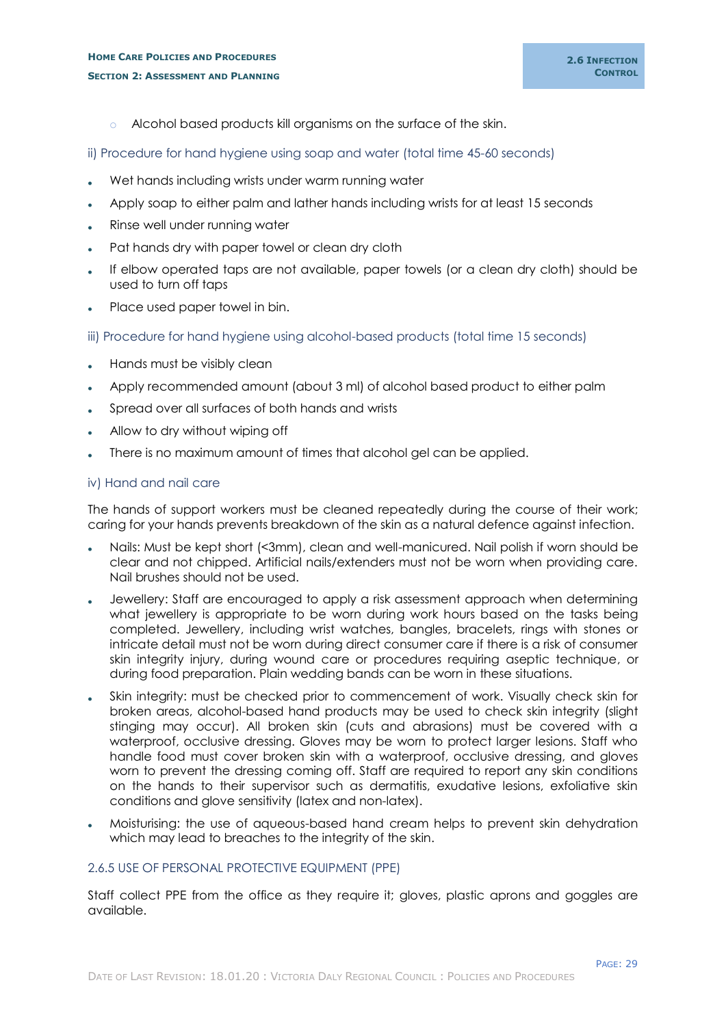- o Alcohol based products kill organisms on the surface of the skin.
- <span id="page-31-0"></span>ii) Procedure for hand hygiene using soap and water (total time 45-60 seconds)
- Wet hands including wrists under warm running water
- Apply soap to either palm and lather hands including wrists for at least 15 seconds
- Rinse well under running water
- Pat hands dry with paper towel or clean dry cloth
- If elbow operated taps are not available, paper towels (or a clean dry cloth) should be used to turn off taps
- Place used paper towel in bin.
- <span id="page-31-1"></span>iii) Procedure for hand hygiene using alcohol-based products (total time 15 seconds)
- Hands must be visibly clean
- Apply recommended amount (about 3 ml) of alcohol based product to either palm
- Spread over all surfaces of both hands and wrists
- Allow to dry without wiping off
- There is no maximum amount of times that alcohol gel can be applied.

## <span id="page-31-2"></span>iv) Hand and nail care

The hands of support workers must be cleaned repeatedly during the course of their work; caring for your hands prevents breakdown of the skin as a natural defence against infection.

- Nails: Must be kept short (<3mm), clean and well-manicured. Nail polish if worn should be clear and not chipped. Artificial nails/extenders must not be worn when providing care. Nail brushes should not be used.
- Jewellery: Staff are encouraged to apply a risk assessment approach when determining what jewellery is appropriate to be worn during work hours based on the tasks being completed. Jewellery, including wrist watches, bangles, bracelets, rings with stones or intricate detail must not be worn during direct consumer care if there is a risk of consumer skin integrity injury, during wound care or procedures requiring aseptic technique, or during food preparation. Plain wedding bands can be worn in these situations.
- Skin integrity: must be checked prior to commencement of work. Visually check skin for broken areas, alcohol-based hand products may be used to check skin integrity (slight stinging may occur). All broken skin (cuts and abrasions) must be covered with a waterproof, occlusive dressing. Gloves may be worn to protect larger lesions. Staff who handle food must cover broken skin with a waterproof, occlusive dressing, and gloves worn to prevent the dressing coming off. Staff are required to report any skin conditions on the hands to their supervisor such as dermatitis, exudative lesions, exfoliative skin conditions and glove sensitivity (latex and non-latex).
- Moisturising: the use of aqueous-based hand cream helps to prevent skin dehydration which may lead to breaches to the integrity of the skin.

## <span id="page-31-3"></span>2.6.5 USE OF PERSONAL PROTECTIVE EQUIPMENT (PPE)

Staff collect PPE from the office as they require it; gloves, plastic aprons and goggles are available.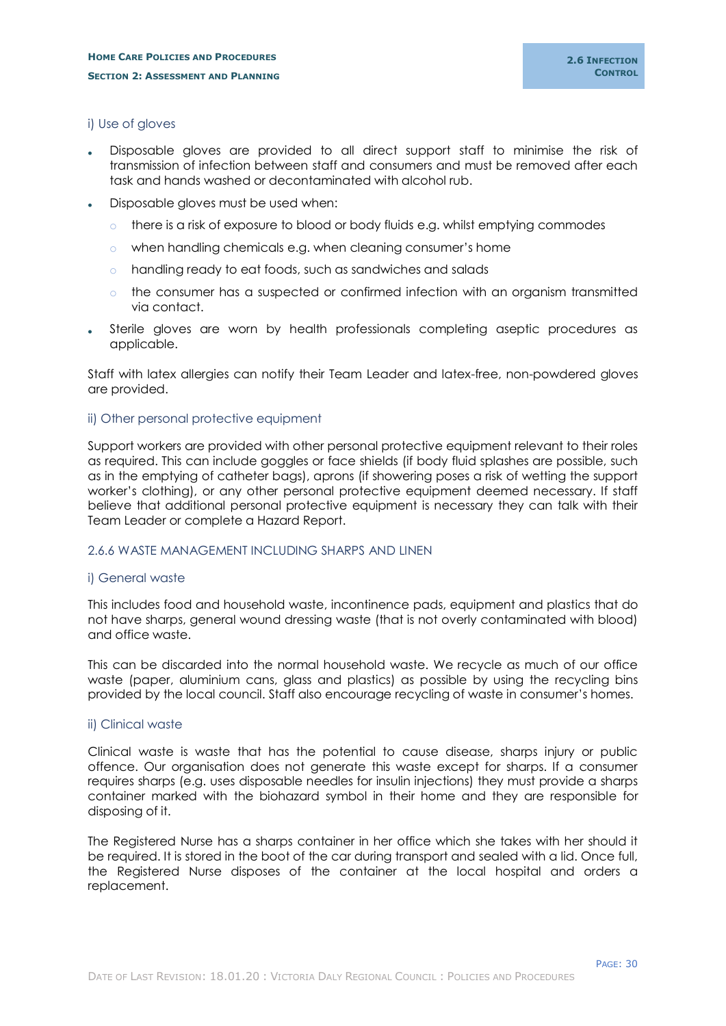## <span id="page-32-0"></span>i) Use of gloves

- Disposable gloves are provided to all direct support staff to minimise the risk of transmission of infection between staff and consumers and must be removed after each task and hands washed or decontaminated with alcohol rub.
- Disposable gloves must be used when:
	- there is a risk of exposure to blood or body fluids e.g. whilst emptying commodes
	- o when handling chemicals e.g. when cleaning consumer's home
	- o handling ready to eat foods, such as sandwiches and salads
	- $\circ$  the consumer has a suspected or confirmed infection with an organism transmitted via contact.
- Sterile gloves are worn by health professionals completing aseptic procedures as applicable.

Staff with latex allergies can notify their Team Leader and latex-free, non-powdered gloves are provided.

#### <span id="page-32-1"></span>ii) Other personal protective equipment

Support workers are provided with other personal protective equipment relevant to their roles as required. This can include goggles or face shields (if body fluid splashes are possible, such as in the emptying of catheter bags), aprons (if showering poses a risk of wetting the support worker's clothing), or any other personal protective equipment deemed necessary. If staff believe that additional personal protective equipment is necessary they can talk with their Team Leader or complete a Hazard Report.

#### <span id="page-32-2"></span>2.6.6 WASTE MANAGEMENT INCLUDING SHARPS AND LINEN

#### <span id="page-32-3"></span>i) General waste

This includes food and household waste, incontinence pads, equipment and plastics that do not have sharps, general wound dressing waste (that is not overly contaminated with blood) and office waste.

This can be discarded into the normal household waste. We recycle as much of our office waste (paper, aluminium cans, glass and plastics) as possible by using the recycling bins provided by the local council. Staff also encourage recycling of waste in consumer's homes.

#### <span id="page-32-4"></span>ii) Clinical waste

Clinical waste is waste that has the potential to cause disease, sharps injury or public offence. Our organisation does not generate this waste except for sharps. If a consumer requires sharps (e.g. uses disposable needles for insulin injections) they must provide a sharps container marked with the biohazard symbol in their home and they are responsible for disposing of it.

The Registered Nurse has a sharps container in her office which she takes with her should it be required. It is stored in the boot of the car during transport and sealed with a lid. Once full, the Registered Nurse disposes of the container at the local hospital and orders a replacement.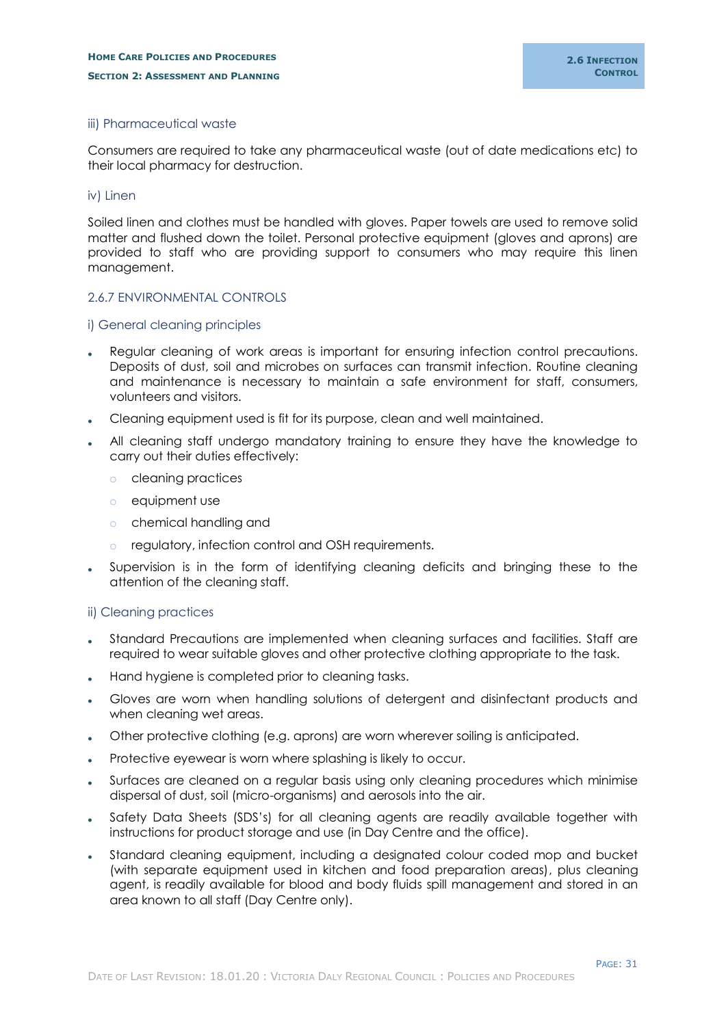## <span id="page-33-0"></span>iii) Pharmaceutical waste

Consumers are required to take any pharmaceutical waste (out of date medications etc) to their local pharmacy for destruction.

#### <span id="page-33-1"></span>iv) Linen

Soiled linen and clothes must be handled with gloves. Paper towels are used to remove solid matter and flushed down the toilet. Personal protective equipment (gloves and aprons) are provided to staff who are providing support to consumers who may require this linen management.

## <span id="page-33-2"></span>2.6.7 ENVIRONMENTAL CONTROLS

#### <span id="page-33-3"></span>i) General cleaning principles

- Regular cleaning of work areas is important for ensuring infection control precautions. Deposits of dust, soil and microbes on surfaces can transmit infection. Routine cleaning and maintenance is necessary to maintain a safe environment for staff, consumers, volunteers and visitors.
- Cleaning equipment used is fit for its purpose, clean and well maintained.
- All cleaning staff undergo mandatory training to ensure they have the knowledge to carry out their duties effectively:
	- o cleaning practices
	- o equipment use
	- o chemical handling and
	- regulatory, infection control and OSH requirements.
- Supervision is in the form of identifying cleaning deficits and bringing these to the attention of the cleaning staff.

#### <span id="page-33-4"></span>ii) Cleaning practices

- Standard Precautions are implemented when cleaning surfaces and facilities. Staff are required to wear suitable gloves and other protective clothing appropriate to the task.
- Hand hygiene is completed prior to cleaning tasks.
- Gloves are worn when handling solutions of detergent and disinfectant products and when cleaning wet areas.
- Other protective clothing (e.g. aprons) are worn wherever soiling is anticipated.
- Protective eyewear is worn where splashing is likely to occur.
- Surfaces are cleaned on a regular basis using only cleaning procedures which minimise dispersal of dust, soil (micro-organisms) and aerosols into the air.
- Safety Data Sheets (SDS's) for all cleaning agents are readily available together with instructions for product storage and use (in Day Centre and the office).
- Standard cleaning equipment, including a designated colour coded mop and bucket (with separate equipment used in kitchen and food preparation areas), plus cleaning agent, is readily available for blood and body fluids spill management and stored in an area known to all staff (Day Centre only).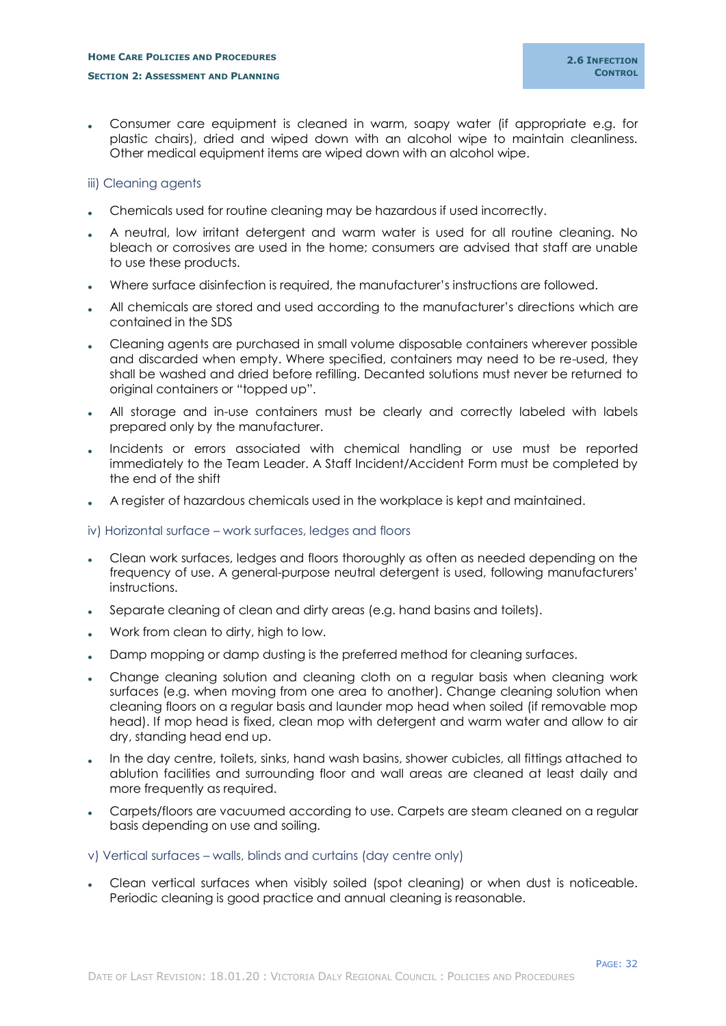Consumer care equipment is cleaned in warm, soapy water (if appropriate e.g. for plastic chairs), dried and wiped down with an alcohol wipe to maintain cleanliness. Other medical equipment items are wiped down with an alcohol wipe.

## <span id="page-34-0"></span>iii) Cleaning agents

- Chemicals used for routine cleaning may be hazardous if used incorrectly.
- A neutral, low irritant detergent and warm water is used for all routine cleaning. No bleach or corrosives are used in the home; consumers are advised that staff are unable to use these products.
- Where surface disinfection is required, the manufacturer's instructions are followed.
- All chemicals are stored and used according to the manufacturer's directions which are contained in the SDS
- Cleaning agents are purchased in small volume disposable containers wherever possible and discarded when empty. Where specified, containers may need to be re-used, they shall be washed and dried before refilling. Decanted solutions must never be returned to original containers or "topped up".
- All storage and in-use containers must be clearly and correctly labeled with labels prepared only by the manufacturer.
- Incidents or errors associated with chemical handling or use must be reported immediately to the Team Leader. A Staff Incident/Accident Form must be completed by the end of the shift
- A register of hazardous chemicals used in the workplace is kept and maintained.

#### <span id="page-34-1"></span>iv) Horizontal surface – work surfaces, ledges and floors

- Clean work surfaces, ledges and floors thoroughly as often as needed depending on the frequency of use. A general-purpose neutral detergent is used, following manufacturers' instructions.
- Separate cleaning of clean and dirty areas (e.g. hand basins and toilets).
- Work from clean to dirty, high to low.
- Damp mopping or damp dusting is the preferred method for cleaning surfaces.
- Change cleaning solution and cleaning cloth on a regular basis when cleaning work surfaces (e.g. when moving from one area to another). Change cleaning solution when cleaning floors on a regular basis and launder mop head when soiled (if removable mop head). If mop head is fixed, clean mop with detergent and warm water and allow to air dry, standing head end up.
- In the day centre, toilets, sinks, hand wash basins, shower cubicles, all fittings attached to ablution facilities and surrounding floor and wall areas are cleaned at least daily and more frequently as required.
- Carpets/floors are vacuumed according to use. Carpets are steam cleaned on a regular basis depending on use and soiling.

#### <span id="page-34-2"></span>v) Vertical surfaces – walls, blinds and curtains (day centre only)

 Clean vertical surfaces when visibly soiled (spot cleaning) or when dust is noticeable. Periodic cleaning is good practice and annual cleaning is reasonable.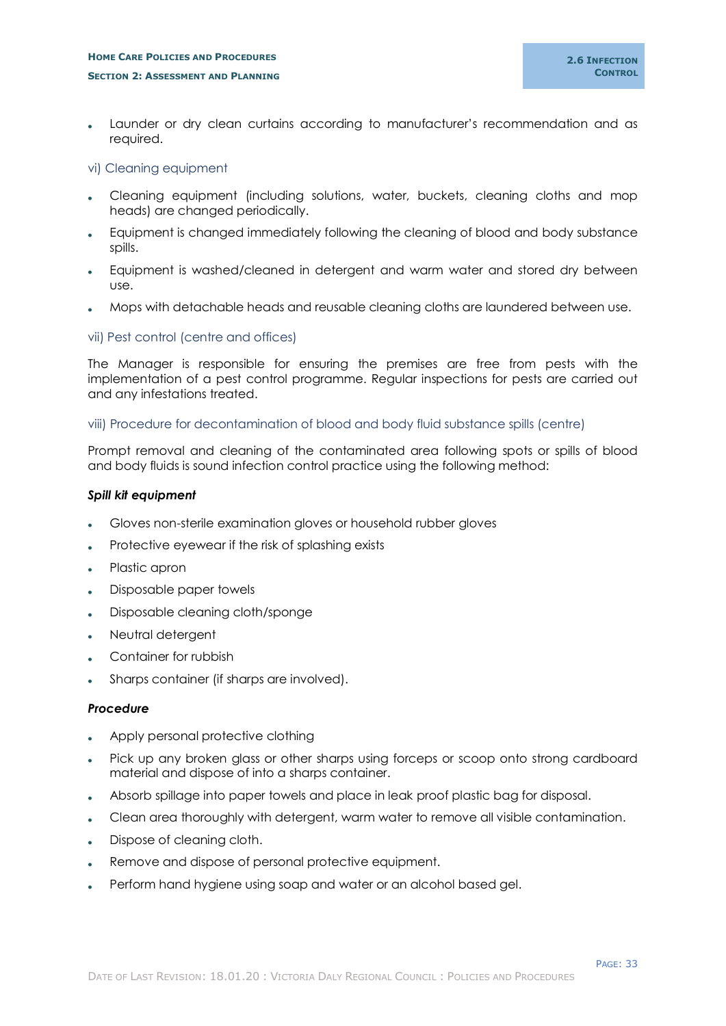Launder or dry clean curtains according to manufacturer's recommendation and as required.

## <span id="page-35-0"></span>vi) Cleaning equipment

- Cleaning equipment (including solutions, water, buckets, cleaning cloths and mop heads) are changed periodically.
- Equipment is changed immediately following the cleaning of blood and body substance spills.
- Equipment is washed/cleaned in detergent and warm water and stored dry between use.
- Mops with detachable heads and reusable cleaning cloths are laundered between use.

## <span id="page-35-1"></span>vii) Pest control (centre and offices)

The Manager is responsible for ensuring the premises are free from pests with the implementation of a pest control programme. Regular inspections for pests are carried out and any infestations treated.

## <span id="page-35-2"></span>viii) Procedure for decontamination of blood and body fluid substance spills (centre)

Prompt removal and cleaning of the contaminated area following spots or spills of blood and body fluids is sound infection control practice using the following method:

## *Spill kit equipment*

- Gloves non-sterile examination gloves or household rubber gloves
- Protective eyewear if the risk of splashing exists
- Plastic apron
- Disposable paper towels
- Disposable cleaning cloth/sponge
- Neutral detergent
- Container for rubbish
- Sharps container (if sharps are involved).

#### *Procedure*

- Apply personal protective clothing
- Pick up any broken glass or other sharps using forceps or scoop onto strong cardboard material and dispose of into a sharps container.
- Absorb spillage into paper towels and place in leak proof plastic bag for disposal.
- Clean area thoroughly with detergent, warm water to remove all visible contamination.
- Dispose of cleaning cloth.
- Remove and dispose of personal protective equipment.
- Perform hand hygiene using soap and water or an alcohol based gel.